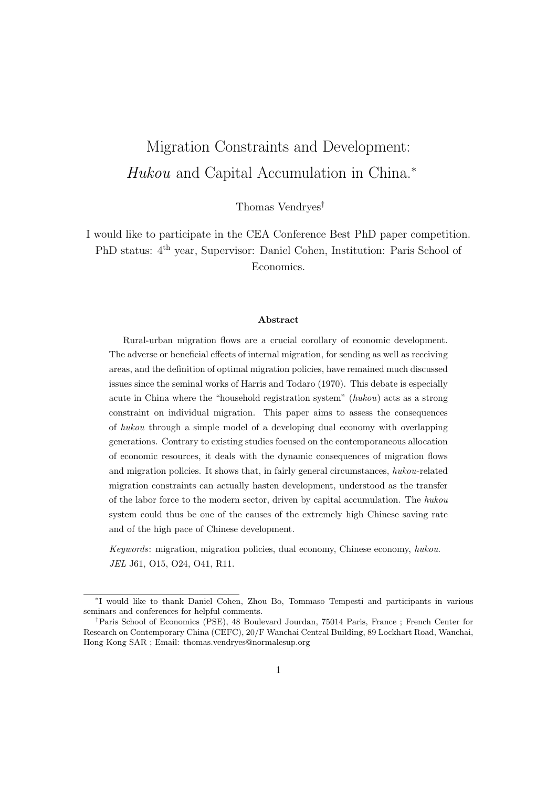# Migration Constraints and Development: Hukou and Capital Accumulation in China.<sup>∗</sup>

Thomas Vendryes†

I would like to participate in the CEA Conference Best PhD paper competition. PhD status: 4th year, Supervisor: Daniel Cohen, Institution: Paris School of Economics.

#### Abstract

Rural-urban migration flows are a crucial corollary of economic development. The adverse or beneficial effects of internal migration, for sending as well as receiving areas, and the definition of optimal migration policies, have remained much discussed issues since the seminal works of Harris and Todaro (1970). This debate is especially acute in China where the "household registration system" (hukou) acts as a strong constraint on individual migration. This paper aims to assess the consequences of hukou through a simple model of a developing dual economy with overlapping generations. Contrary to existing studies focused on the contemporaneous allocation of economic resources, it deals with the dynamic consequences of migration flows and migration policies. It shows that, in fairly general circumstances, hukou-related migration constraints can actually hasten development, understood as the transfer of the labor force to the modern sector, driven by capital accumulation. The hukou system could thus be one of the causes of the extremely high Chinese saving rate and of the high pace of Chinese development.

Keywords: migration, migration policies, dual economy, Chinese economy, hukou. JEL J61, O15, O24, O41, R11.

<sup>∗</sup> I would like to thank Daniel Cohen, Zhou Bo, Tommaso Tempesti and participants in various seminars and conferences for helpful comments.

<sup>†</sup>Paris School of Economics (PSE), 48 Boulevard Jourdan, 75014 Paris, France ; French Center for Research on Contemporary China (CEFC), 20/F Wanchai Central Building, 89 Lockhart Road, Wanchai, Hong Kong SAR ; Email: thomas.vendryes@normalesup.org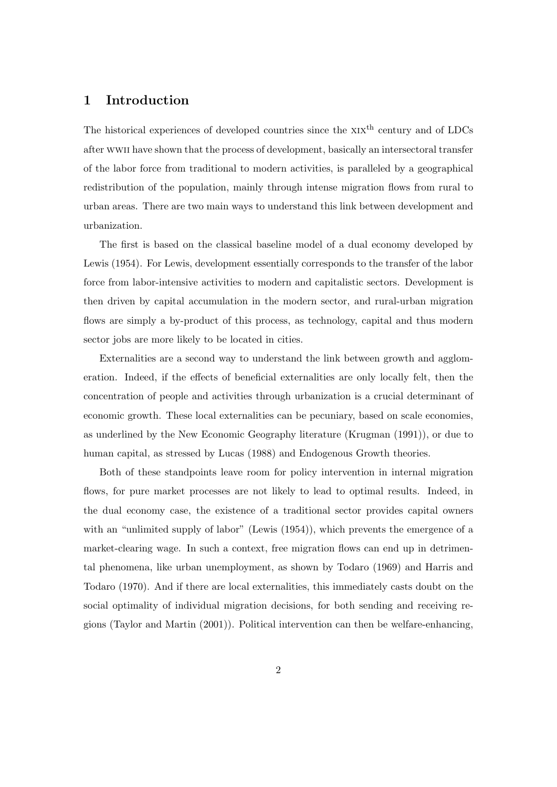# 1 Introduction

The historical experiences of developed countries since the  $XIX<sup>th</sup>$  century and of LDCs after wwii have shown that the process of development, basically an intersectoral transfer of the labor force from traditional to modern activities, is paralleled by a geographical redistribution of the population, mainly through intense migration flows from rural to urban areas. There are two main ways to understand this link between development and urbanization.

The first is based on the classical baseline model of a dual economy developed by Lewis (1954). For Lewis, development essentially corresponds to the transfer of the labor force from labor-intensive activities to modern and capitalistic sectors. Development is then driven by capital accumulation in the modern sector, and rural-urban migration flows are simply a by-product of this process, as technology, capital and thus modern sector jobs are more likely to be located in cities.

Externalities are a second way to understand the link between growth and agglomeration. Indeed, if the effects of beneficial externalities are only locally felt, then the concentration of people and activities through urbanization is a crucial determinant of economic growth. These local externalities can be pecuniary, based on scale economies, as underlined by the New Economic Geography literature (Krugman (1991)), or due to human capital, as stressed by Lucas (1988) and Endogenous Growth theories.

Both of these standpoints leave room for policy intervention in internal migration flows, for pure market processes are not likely to lead to optimal results. Indeed, in the dual economy case, the existence of a traditional sector provides capital owners with an "unlimited supply of labor" (Lewis (1954)), which prevents the emergence of a market-clearing wage. In such a context, free migration flows can end up in detrimental phenomena, like urban unemployment, as shown by Todaro (1969) and Harris and Todaro (1970). And if there are local externalities, this immediately casts doubt on the social optimality of individual migration decisions, for both sending and receiving regions (Taylor and Martin (2001)). Political intervention can then be welfare-enhancing,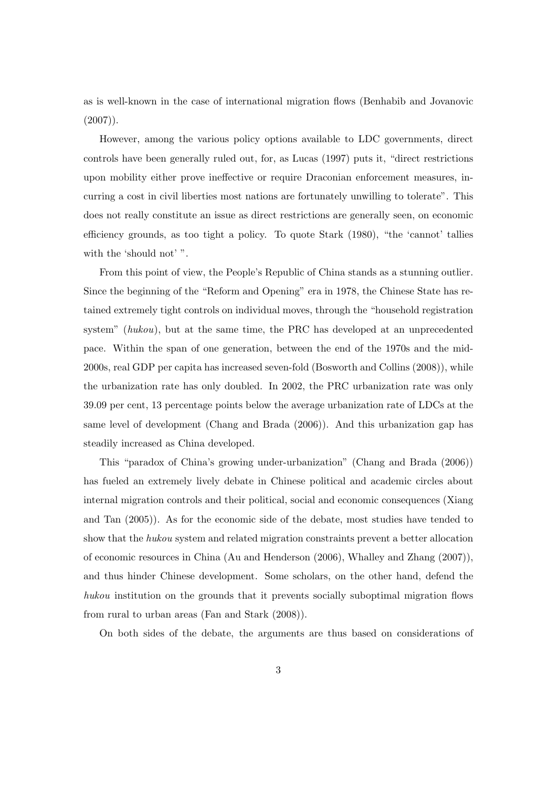as is well-known in the case of international migration flows (Benhabib and Jovanovic  $(2007)$ .

However, among the various policy options available to LDC governments, direct controls have been generally ruled out, for, as Lucas (1997) puts it, "direct restrictions upon mobility either prove ineffective or require Draconian enforcement measures, incurring a cost in civil liberties most nations are fortunately unwilling to tolerate". This does not really constitute an issue as direct restrictions are generally seen, on economic efficiency grounds, as too tight a policy. To quote Stark (1980), "the 'cannot' tallies with the 'should not' ".

From this point of view, the People's Republic of China stands as a stunning outlier. Since the beginning of the "Reform and Opening" era in 1978, the Chinese State has retained extremely tight controls on individual moves, through the "household registration system" (hukou), but at the same time, the PRC has developed at an unprecedented pace. Within the span of one generation, between the end of the 1970s and the mid-2000s, real GDP per capita has increased seven-fold (Bosworth and Collins (2008)), while the urbanization rate has only doubled. In 2002, the PRC urbanization rate was only 39.09 per cent, 13 percentage points below the average urbanization rate of LDCs at the same level of development (Chang and Brada (2006)). And this urbanization gap has steadily increased as China developed.

This "paradox of China's growing under-urbanization" (Chang and Brada (2006)) has fueled an extremely lively debate in Chinese political and academic circles about internal migration controls and their political, social and economic consequences (Xiang and Tan (2005)). As for the economic side of the debate, most studies have tended to show that the hukou system and related migration constraints prevent a better allocation of economic resources in China (Au and Henderson (2006), Whalley and Zhang (2007)), and thus hinder Chinese development. Some scholars, on the other hand, defend the hukou institution on the grounds that it prevents socially suboptimal migration flows from rural to urban areas (Fan and Stark (2008)).

On both sides of the debate, the arguments are thus based on considerations of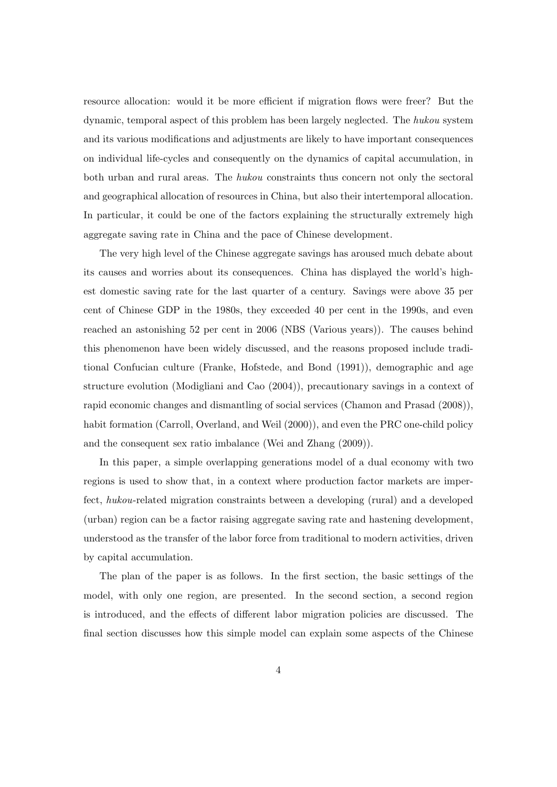resource allocation: would it be more efficient if migration flows were freer? But the dynamic, temporal aspect of this problem has been largely neglected. The hukou system and its various modifications and adjustments are likely to have important consequences on individual life-cycles and consequently on the dynamics of capital accumulation, in both urban and rural areas. The hukou constraints thus concern not only the sectoral and geographical allocation of resources in China, but also their intertemporal allocation. In particular, it could be one of the factors explaining the structurally extremely high aggregate saving rate in China and the pace of Chinese development.

The very high level of the Chinese aggregate savings has aroused much debate about its causes and worries about its consequences. China has displayed the world's highest domestic saving rate for the last quarter of a century. Savings were above 35 per cent of Chinese GDP in the 1980s, they exceeded 40 per cent in the 1990s, and even reached an astonishing 52 per cent in 2006 (NBS (Various years)). The causes behind this phenomenon have been widely discussed, and the reasons proposed include traditional Confucian culture (Franke, Hofstede, and Bond (1991)), demographic and age structure evolution (Modigliani and Cao (2004)), precautionary savings in a context of rapid economic changes and dismantling of social services (Chamon and Prasad (2008)), habit formation (Carroll, Overland, and Weil (2000)), and even the PRC one-child policy and the consequent sex ratio imbalance (Wei and Zhang (2009)).

In this paper, a simple overlapping generations model of a dual economy with two regions is used to show that, in a context where production factor markets are imperfect, hukou-related migration constraints between a developing (rural) and a developed (urban) region can be a factor raising aggregate saving rate and hastening development, understood as the transfer of the labor force from traditional to modern activities, driven by capital accumulation.

The plan of the paper is as follows. In the first section, the basic settings of the model, with only one region, are presented. In the second section, a second region is introduced, and the effects of different labor migration policies are discussed. The final section discusses how this simple model can explain some aspects of the Chinese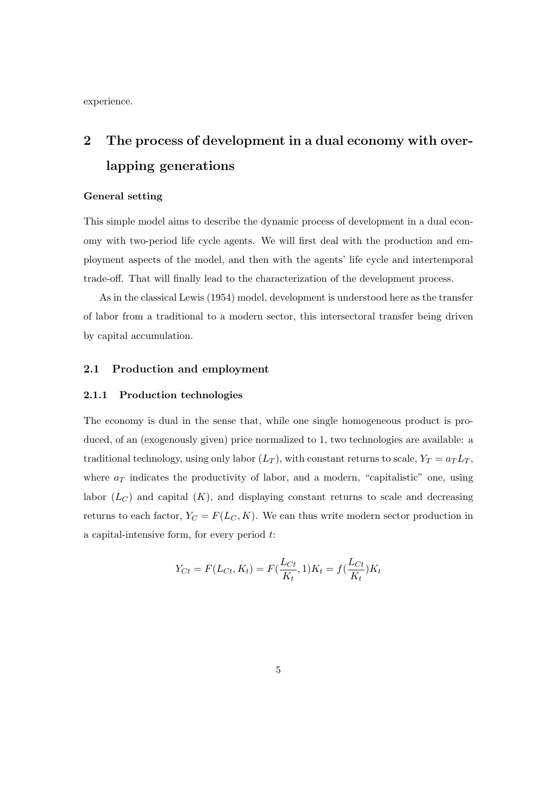experience.

# 2 The process of development in a dual economy with overlapping generations

#### General setting

This simple model aims to describe the dynamic process of development in a dual economy with two-period life cycle agents. We will first deal with the production and employment aspects of the model, and then with the agents' life cycle and intertemporal trade-off. That will finally lead to the characterization of the development process.

As in the classical Lewis (1954) model, development is understood here as the transfer of labor from a traditional to a modern sector, this intersectoral transfer being driven by capital accumulation.

#### 2.1 Production and employment

#### 2.1.1 Production technologies

The economy is dual in the sense that, while one single homogeneous product is produced, of an (exogenously given) price normalized to 1, two technologies are available: a traditional technology, using only labor  $(L_T)$ , with constant returns to scale,  $Y_T = a_T L_T$ , where  $a_T$  indicates the productivity of labor, and a modern, "capitalistic" one, using labor  $(L_C)$  and capital  $(K)$ , and displaying constant returns to scale and decreasing returns to each factor,  $Y_C = F(L_C, K)$ . We can thus write modern sector production in a capital-intensive form, for every period t:

$$
Y_{Ct} = F(L_{Ct}, K_t) = F(\frac{L_{Ct}}{K_t}, 1)K_t = f(\frac{L_{Ct}}{K_t})K_t
$$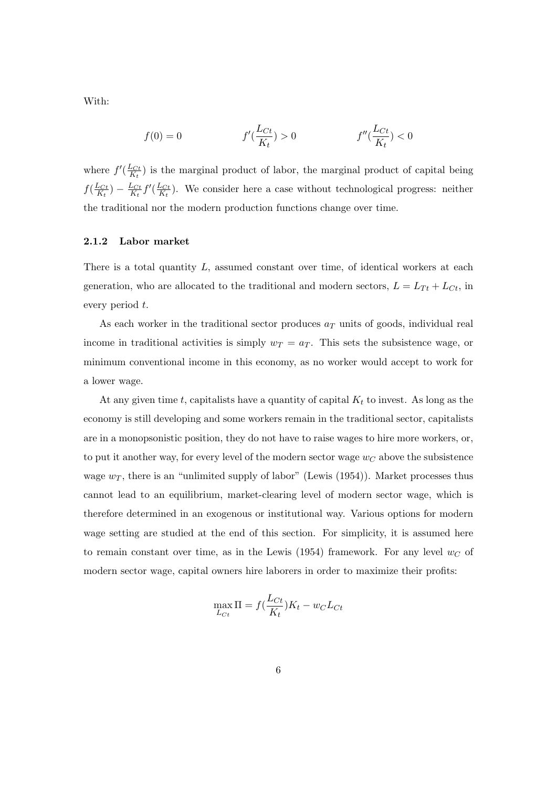With:

$$
f(0) = 0 \t\t f'(\frac{L_{Ct}}{K_t}) > 0 \t\t f''(\frac{L_{Ct}}{K_t}) < 0
$$

where  $f'(\frac{L_{Ct}}{K}$  $\frac{L_{C_t}}{K_t}$  is the marginal product of labor, the marginal product of capital being  $f(\frac{L_{Ct}}{K_{t}}$  $\frac{L_{Ct}}{K_t}$ ) –  $\frac{L_{Ct}}{K_t}$  $\frac{L_{Ct}}{K_t} f'(\frac{L_{Ct}}{K_t}$  $\frac{L_{Ct}}{K_t}$ ). We consider here a case without technological progress: neither the traditional nor the modern production functions change over time.

#### 2.1.2 Labor market

There is a total quantity  $L$ , assumed constant over time, of identical workers at each generation, who are allocated to the traditional and modern sectors,  $L = L_{Tt} + L_{Ct}$ , in every period t.

As each worker in the traditional sector produces  $a<sub>T</sub>$  units of goods, individual real income in traditional activities is simply  $w_T = a_T$ . This sets the subsistence wage, or minimum conventional income in this economy, as no worker would accept to work for a lower wage.

At any given time t, capitalists have a quantity of capital  $K_t$  to invest. As long as the economy is still developing and some workers remain in the traditional sector, capitalists are in a monopsonistic position, they do not have to raise wages to hire more workers, or, to put it another way, for every level of the modern sector wage  $w_C$  above the subsistence wage  $w_T$ , there is an "unlimited supply of labor" (Lewis (1954)). Market processes thus cannot lead to an equilibrium, market-clearing level of modern sector wage, which is therefore determined in an exogenous or institutional way. Various options for modern wage setting are studied at the end of this section. For simplicity, it is assumed here to remain constant over time, as in the Lewis (1954) framework. For any level  $w_C$  of modern sector wage, capital owners hire laborers in order to maximize their profits:

$$
\max_{L_{C_t}} \Pi = f(\frac{L_{C_t}}{K_t})K_t - w_C L_{C_t}
$$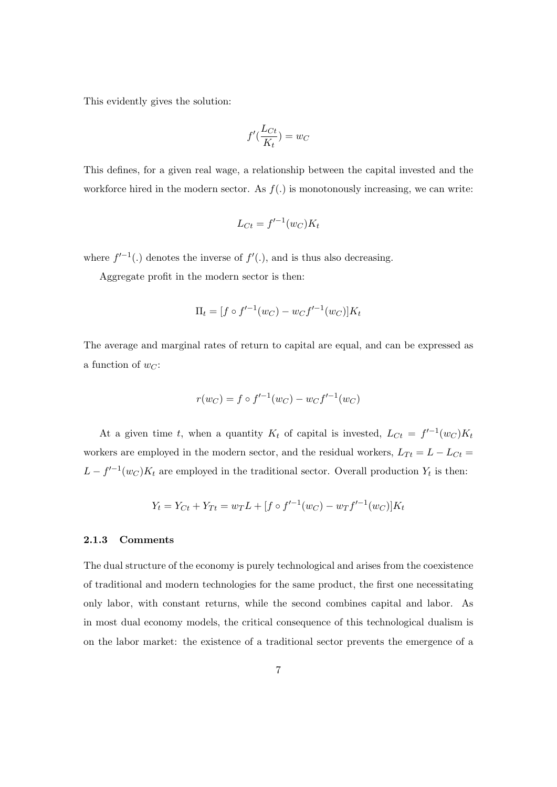This evidently gives the solution:

$$
f'(\frac{L_{Ct}}{K_t}) = w_C
$$

This defines, for a given real wage, a relationship between the capital invested and the workforce hired in the modern sector. As  $f(.)$  is monotonously increasing, we can write:

$$
L_{Ct} = f'^{-1}(w_C)K_t
$$

where  $f'^{-1}(.)$  denotes the inverse of  $f'(.)$ , and is thus also decreasing.

Aggregate profit in the modern sector is then:

$$
\Pi_t = [f \circ f'^{-1}(w_C) - w_C f'^{-1}(w_C)] K_t
$$

The average and marginal rates of return to capital are equal, and can be expressed as a function of  $w_C$ :

$$
r(w_C) = f \circ f'^{-1}(w_C) - w_C f'^{-1}(w_C)
$$

At a given time t, when a quantity  $K_t$  of capital is invested,  $L_{C_t} = f^{-1}(w_C)K_t$ workers are employed in the modern sector, and the residual workers,  $L_{Tt} = L - L_{Ct}$  $L - f^{-1}(w_C)K_t$  are employed in the traditional sector. Overall production  $Y_t$  is then:

$$
Y_t = Y_{Ct} + Y_{Tt} = w_T L + [f \circ f'^{-1}(w_C) - w_T f'^{-1}(w_C)] K_t
$$

#### 2.1.3 Comments

The dual structure of the economy is purely technological and arises from the coexistence of traditional and modern technologies for the same product, the first one necessitating only labor, with constant returns, while the second combines capital and labor. As in most dual economy models, the critical consequence of this technological dualism is on the labor market: the existence of a traditional sector prevents the emergence of a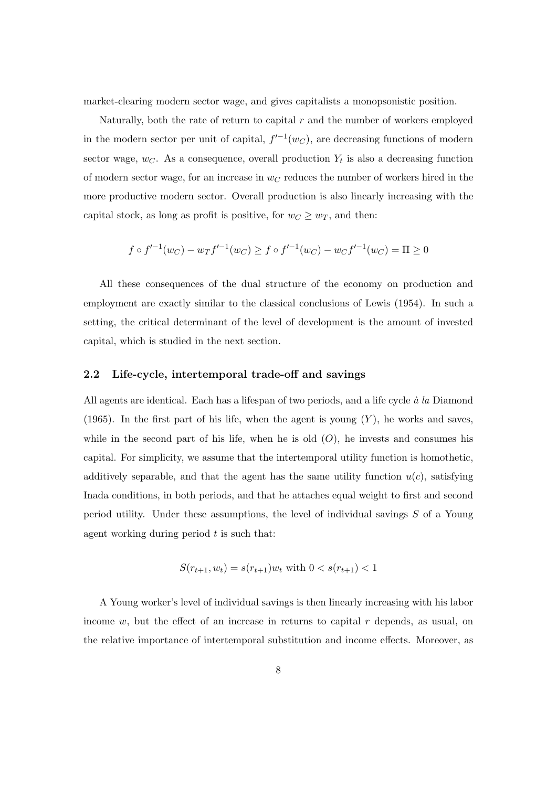market-clearing modern sector wage, and gives capitalists a monopsonistic position.

Naturally, both the rate of return to capital  $r$  and the number of workers employed in the modern sector per unit of capital,  $f^{-1}(w_C)$ , are decreasing functions of modern sector wage,  $w_C$ . As a consequence, overall production  $Y_t$  is also a decreasing function of modern sector wage, for an increase in  $w_C$  reduces the number of workers hired in the more productive modern sector. Overall production is also linearly increasing with the capital stock, as long as profit is positive, for  $w_C \geq w_T$ , and then:

$$
f \circ f'^{-1}(w_C) - w_T f'^{-1}(w_C) \ge f \circ f'^{-1}(w_C) - w_C f'^{-1}(w_C) = \Pi \ge 0
$$

All these consequences of the dual structure of the economy on production and employment are exactly similar to the classical conclusions of Lewis (1954). In such a setting, the critical determinant of the level of development is the amount of invested capital, which is studied in the next section.

#### 2.2 Life-cycle, intertemporal trade-off and savings

All agents are identical. Each has a lifespan of two periods, and a life cycle  $\dot{a}$  la Diamond (1965). In the first part of his life, when the agent is young  $(Y)$ , he works and saves, while in the second part of his life, when he is old  $(O)$ , he invests and consumes his capital. For simplicity, we assume that the intertemporal utility function is homothetic, additively separable, and that the agent has the same utility function  $u(c)$ , satisfying Inada conditions, in both periods, and that he attaches equal weight to first and second period utility. Under these assumptions, the level of individual savings S of a Young agent working during period  $t$  is such that:

$$
S(r_{t+1}, w_t) = s(r_{t+1})w_t \text{ with } 0 < s(r_{t+1}) < 1
$$

A Young worker's level of individual savings is then linearly increasing with his labor income  $w$ , but the effect of an increase in returns to capital  $r$  depends, as usual, on the relative importance of intertemporal substitution and income effects. Moreover, as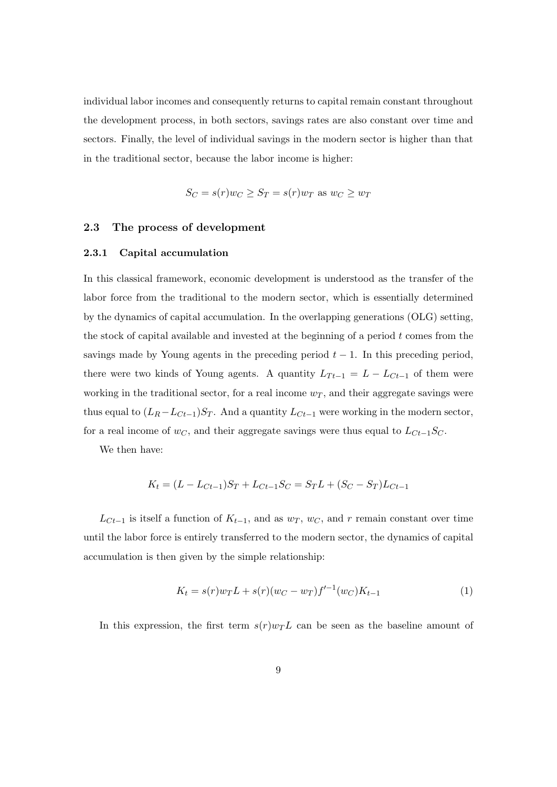individual labor incomes and consequently returns to capital remain constant throughout the development process, in both sectors, savings rates are also constant over time and sectors. Finally, the level of individual savings in the modern sector is higher than that in the traditional sector, because the labor income is higher:

$$
S_C = s(r)w_C \ge S_T = s(r)w_T \text{ as } w_C \ge w_T
$$

#### 2.3 The process of development

#### 2.3.1 Capital accumulation

In this classical framework, economic development is understood as the transfer of the labor force from the traditional to the modern sector, which is essentially determined by the dynamics of capital accumulation. In the overlapping generations (OLG) setting, the stock of capital available and invested at the beginning of a period  $t$  comes from the savings made by Young agents in the preceding period  $t - 1$ . In this preceding period, there were two kinds of Young agents. A quantity  $L_{T_t-1} = L - L_{C_t-1}$  of them were working in the traditional sector, for a real income  $w_T$ , and their aggregate savings were thus equal to  $(L_R - L_{C_{t-1}})S_T$ . And a quantity  $L_{C_{t-1}}$  were working in the modern sector, for a real income of  $w<sub>C</sub>$ , and their aggregate savings were thus equal to  $L<sub>Ct−1</sub>S<sub>C</sub>$ .

We then have:

$$
K_t = (L - L_{Ct-1})S_T + L_{Ct-1}S_C = S_T L + (S_C - S_T)L_{Ct-1}
$$

 $L_{C_{t-1}}$  is itself a function of  $K_{t-1}$ , and as  $w_T$ ,  $w_C$ , and r remain constant over time until the labor force is entirely transferred to the modern sector, the dynamics of capital accumulation is then given by the simple relationship:

$$
K_t = s(r)w_T L + s(r)(w_C - w_T)f'^{-1}(w_C)K_{t-1}
$$
\n(1)

In this expression, the first term  $s(r)w_{T}L$  can be seen as the baseline amount of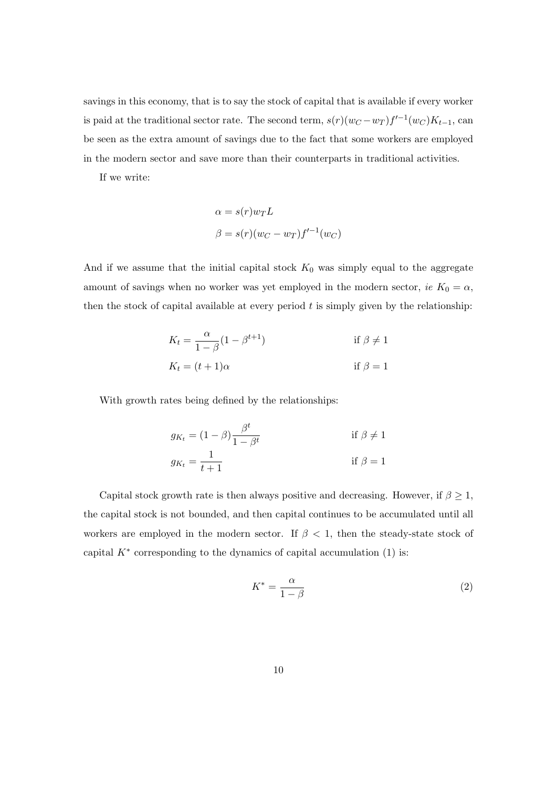savings in this economy, that is to say the stock of capital that is available if every worker is paid at the traditional sector rate. The second term,  $s(r)(wc - wr) f'^{-1}(wc)K_{t-1}$ , can be seen as the extra amount of savings due to the fact that some workers are employed in the modern sector and save more than their counterparts in traditional activities.

If we write:

$$
\alpha = s(r)w_T L
$$

$$
\beta = s(r)(wc - w_T)f'^{-1}(wc)
$$

And if we assume that the initial capital stock  $K_0$  was simply equal to the aggregate amount of savings when no worker was yet employed in the modern sector, ie  $K_0 = \alpha$ , then the stock of capital available at every period  $t$  is simply given by the relationship:

$$
K_t = \frac{\alpha}{1 - \beta} (1 - \beta^{t+1})
$$
 if  $\beta \neq 1$   

$$
K_t = (t+1)\alpha
$$
 if  $\beta = 1$ 

With growth rates being defined by the relationships:

$$
g_{K_t} = (1 - \beta) \frac{\beta^t}{1 - \beta^t}
$$
 if  $\beta \neq 1$   

$$
g_{K_t} = \frac{1}{t + 1}
$$
 if  $\beta = 1$ 

Capital stock growth rate is then always positive and decreasing. However, if  $\beta \geq 1$ , the capital stock is not bounded, and then capital continues to be accumulated until all workers are employed in the modern sector. If  $\beta$  < 1, then the steady-state stock of capital  $K^*$  corresponding to the dynamics of capital accumulation (1) is:

$$
K^* = \frac{\alpha}{1 - \beta} \tag{2}
$$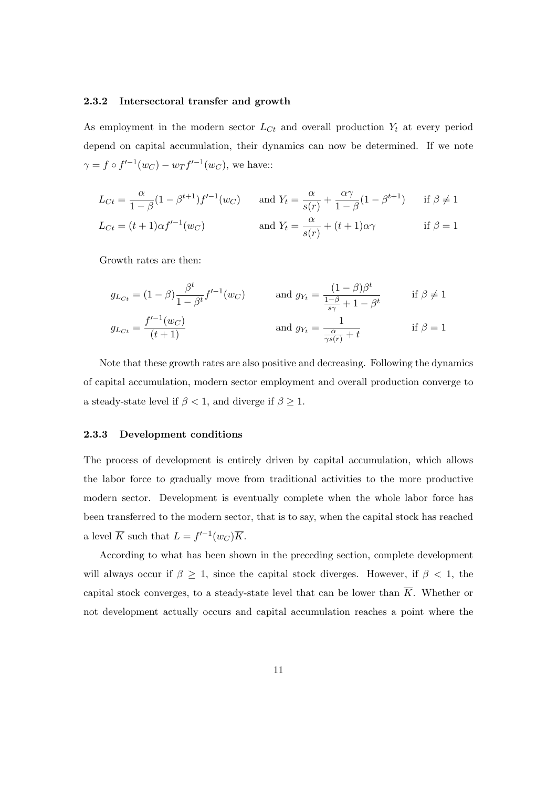#### 2.3.2 Intersectoral transfer and growth

As employment in the modern sector  $L_{C_t}$  and overall production  $Y_t$  at every period depend on capital accumulation, their dynamics can now be determined. If we note  $\gamma = f \circ f'^{-1}(w_C) - w_T f'^{-1}(w_C)$ , we have::

$$
L_{Ct} = \frac{\alpha}{1-\beta}(1-\beta^{t+1})f'^{-1}(w_C) \quad \text{and } Y_t = \frac{\alpha}{s(r)} + \frac{\alpha\gamma}{1-\beta}(1-\beta^{t+1}) \quad \text{if } \beta \neq 1
$$
  

$$
L_{Ct} = (t+1)\alpha f'^{-1}(w_C) \quad \text{and } Y_t = \frac{\alpha}{s(r)} + (t+1)\alpha\gamma \quad \text{if } \beta = 1
$$

Growth rates are then:

$$
g_{L_{C_t}} = (1 - \beta) \frac{\beta^t}{1 - \beta^t} f'^{-1}(w_C) \quad \text{and } g_{Y_t} = \frac{(1 - \beta)\beta^t}{\frac{1 - \beta}{s\gamma} + 1 - \beta^t} \quad \text{if } \beta \neq 1
$$

$$
g_{L_{C_t}} = \frac{f'^{-1}(w_C)}{(t + 1)} \quad \text{and } g_{Y_t} = \frac{1}{\frac{\alpha}{\gamma s(r)} + t} \quad \text{if } \beta = 1
$$

Note that these growth rates are also positive and decreasing. Following the dynamics of capital accumulation, modern sector employment and overall production converge to a steady-state level if  $\beta < 1$ , and diverge if  $\beta \geq 1$ .

#### 2.3.3 Development conditions

The process of development is entirely driven by capital accumulation, which allows the labor force to gradually move from traditional activities to the more productive modern sector. Development is eventually complete when the whole labor force has been transferred to the modern sector, that is to say, when the capital stock has reached a level  $\overline{K}$  such that  $L = f'^{-1}(w_C)\overline{K}$ .

According to what has been shown in the preceding section, complete development will always occur if  $\beta \geq 1$ , since the capital stock diverges. However, if  $\beta < 1$ , the capital stock converges, to a steady-state level that can be lower than  $\overline{K}$ . Whether or not development actually occurs and capital accumulation reaches a point where the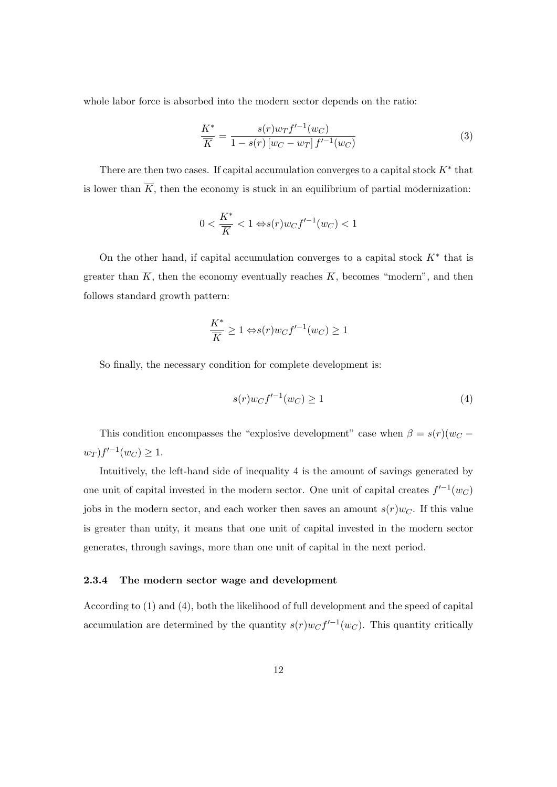whole labor force is absorbed into the modern sector depends on the ratio:

$$
\frac{K^*}{\overline{K}} = \frac{s(r)w_T f'^{-1}(w_C)}{1 - s(r)[w_C - w_T] f'^{-1}(w_C)}
$$
(3)

There are then two cases. If capital accumulation converges to a capital stock  $K^*$  that is lower than  $\overline{K}$ , then the economy is stuck in an equilibrium of partial modernization:

$$
0 < \frac{K^*}{\overline{K}} < 1 \Leftrightarrow s(r)w_Cf'^{-1}(w_C) < 1
$$

On the other hand, if capital accumulation converges to a capital stock  $K^*$  that is greater than  $\overline{K}$ , then the economy eventually reaches  $\overline{K}$ , becomes "modern", and then follows standard growth pattern:

$$
\frac{K^*}{\overline{K}} \ge 1 \Leftrightarrow s(r)w_C f'^{-1}(w_C) \ge 1
$$

So finally, the necessary condition for complete development is:

$$
s(r)w_Cf'^{-1}(w_C) \ge 1\tag{4}
$$

This condition encompasses the "explosive development" case when  $\beta = s(r)(w_C$  $w_T$ )  $f'^{-1}(w_C) \geq 1$ .

Intuitively, the left-hand side of inequality 4 is the amount of savings generated by one unit of capital invested in the modern sector. One unit of capital creates  $f'^{-1}(w_C)$ jobs in the modern sector, and each worker then saves an amount  $s(r)w_C$ . If this value is greater than unity, it means that one unit of capital invested in the modern sector generates, through savings, more than one unit of capital in the next period.

#### 2.3.4 The modern sector wage and development

According to (1) and (4), both the likelihood of full development and the speed of capital accumulation are determined by the quantity  $s(r)w_Cf'^{-1}(w_C)$ . This quantity critically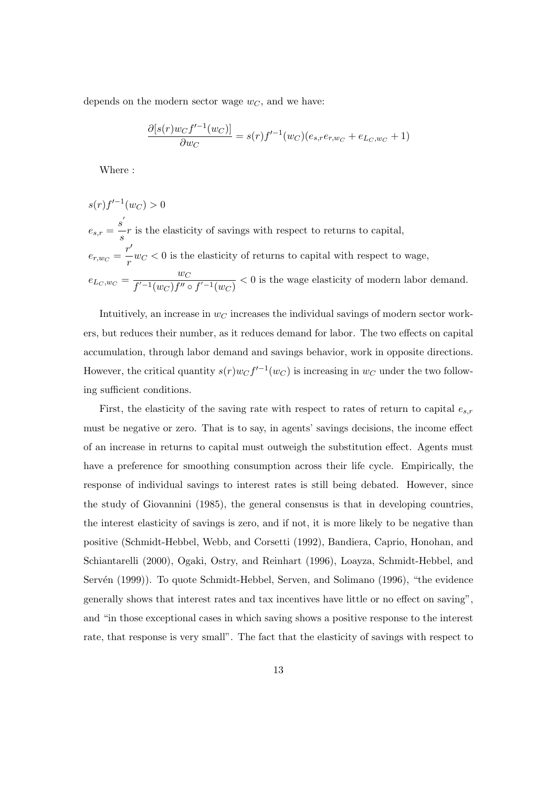depends on the modern sector wage  $w<sub>C</sub>$ , and we have:

$$
\frac{\partial [s(r)w_C f'^{-1}(w_C)]}{\partial w_C} = s(r) f'^{-1}(w_C)(e_{s,r}e_{r,w_C} + e_{L_C,w_C} + 1)
$$

Where :

$$
s(r)f'^{-1}(w_C) > 0
$$
  
\n
$$
e_{s,r} = \frac{s'}{s}r
$$
 is the elasticity of savings with respect to returns to capital,  
\n
$$
e_{r,w_C} = \frac{r'}{r}w_C < 0
$$
 is the elasticity of returns to capital with respect to wage,  
\n
$$
e_{L_C,w_C} = \frac{w_C}{f'^{-1}(w_C)f'' \circ f'^{-1}(w_C)} < 0
$$
 is the wage elasticity of modern labor demand.

Intuitively, an increase in  $w<sub>C</sub>$  increases the individual savings of modern sector workers, but reduces their number, as it reduces demand for labor. The two effects on capital accumulation, through labor demand and savings behavior, work in opposite directions. However, the critical quantity  $s(r)w_Cf^{-1}(w_C)$  is increasing in  $w_C$  under the two following sufficient conditions.

First, the elasticity of the saving rate with respect to rates of return to capital  $e_{s,r}$ must be negative or zero. That is to say, in agents' savings decisions, the income effect of an increase in returns to capital must outweigh the substitution effect. Agents must have a preference for smoothing consumption across their life cycle. Empirically, the response of individual savings to interest rates is still being debated. However, since the study of Giovannini (1985), the general consensus is that in developing countries, the interest elasticity of savings is zero, and if not, it is more likely to be negative than positive (Schmidt-Hebbel, Webb, and Corsetti (1992), Bandiera, Caprio, Honohan, and Schiantarelli (2000), Ogaki, Ostry, and Reinhart (1996), Loayza, Schmidt-Hebbel, and Servén (1999)). To quote Schmidt-Hebbel, Serven, and Solimano (1996), "the evidence generally shows that interest rates and tax incentives have little or no effect on saving", and "in those exceptional cases in which saving shows a positive response to the interest rate, that response is very small". The fact that the elasticity of savings with respect to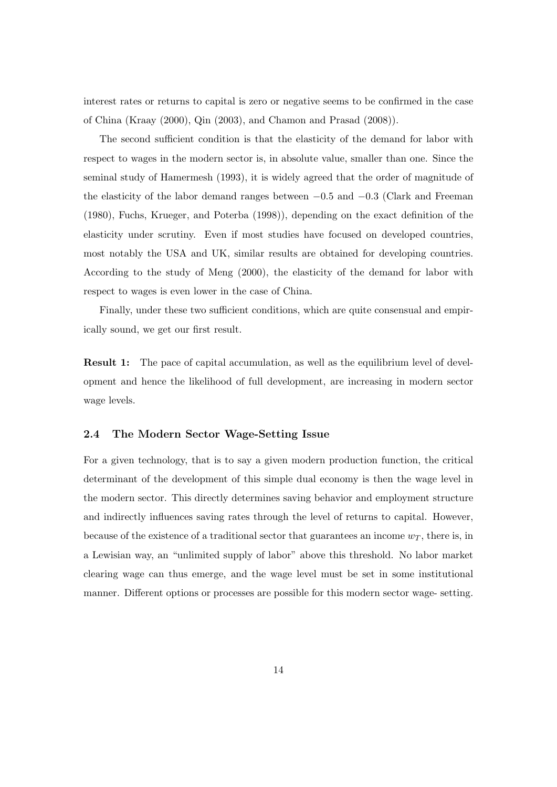interest rates or returns to capital is zero or negative seems to be confirmed in the case of China (Kraay (2000), Qin (2003), and Chamon and Prasad (2008)).

The second sufficient condition is that the elasticity of the demand for labor with respect to wages in the modern sector is, in absolute value, smaller than one. Since the seminal study of Hamermesh (1993), it is widely agreed that the order of magnitude of the elasticity of the labor demand ranges between −0.5 and −0.3 (Clark and Freeman (1980), Fuchs, Krueger, and Poterba (1998)), depending on the exact definition of the elasticity under scrutiny. Even if most studies have focused on developed countries, most notably the USA and UK, similar results are obtained for developing countries. According to the study of Meng (2000), the elasticity of the demand for labor with respect to wages is even lower in the case of China.

Finally, under these two sufficient conditions, which are quite consensual and empirically sound, we get our first result.

Result 1: The pace of capital accumulation, as well as the equilibrium level of development and hence the likelihood of full development, are increasing in modern sector wage levels.

#### 2.4 The Modern Sector Wage-Setting Issue

For a given technology, that is to say a given modern production function, the critical determinant of the development of this simple dual economy is then the wage level in the modern sector. This directly determines saving behavior and employment structure and indirectly influences saving rates through the level of returns to capital. However, because of the existence of a traditional sector that guarantees an income  $w_T$ , there is, in a Lewisian way, an "unlimited supply of labor" above this threshold. No labor market clearing wage can thus emerge, and the wage level must be set in some institutional manner. Different options or processes are possible for this modern sector wage- setting.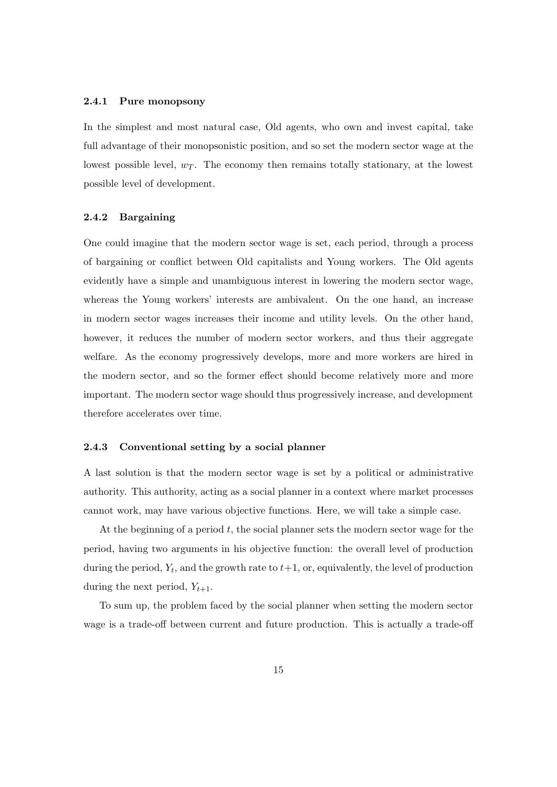#### 2.4.1 Pure monopsony

In the simplest and most natural case, Old agents, who own and invest capital, take full advantage of their monopsonistic position, and so set the modern sector wage at the lowest possible level,  $w_T$ . The economy then remains totally stationary, at the lowest possible level of development.

#### 2.4.2 Bargaining

One could imagine that the modern sector wage is set, each period, through a process of bargaining or conflict between Old capitalists and Young workers. The Old agents evidently have a simple and unambiguous interest in lowering the modern sector wage, whereas the Young workers' interests are ambivalent. On the one hand, an increase in modern sector wages increases their income and utility levels. On the other hand, however, it reduces the number of modern sector workers, and thus their aggregate welfare. As the economy progressively develops, more and more workers are hired in the modern sector, and so the former effect should become relatively more and more important. The modern sector wage should thus progressively increase, and development therefore accelerates over time.

#### 2.4.3 Conventional setting by a social planner

A last solution is that the modern sector wage is set by a political or administrative authority. This authority, acting as a social planner in a context where market processes cannot work, may have various objective functions. Here, we will take a simple case.

At the beginning of a period  $t$ , the social planner sets the modern sector wage for the period, having two arguments in his objective function: the overall level of production during the period,  $Y_t$ , and the growth rate to  $t+1$ , or, equivalently, the level of production during the next period,  $Y_{t+1}$ .

To sum up, the problem faced by the social planner when setting the modern sector wage is a trade-off between current and future production. This is actually a trade-off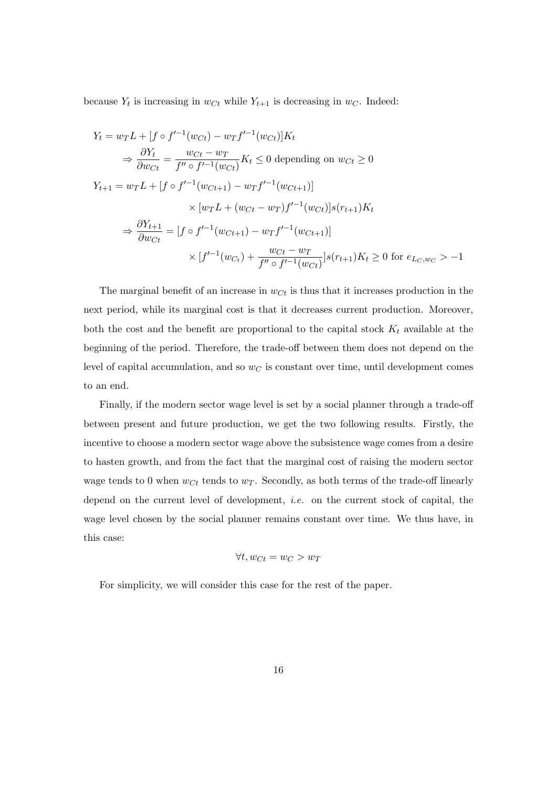because  $Y_t$  is increasing in  $w_{C_t}$  while  $Y_{t+1}$  is decreasing in  $w_C$ . Indeed:

$$
Y_t = w_T L + [f \circ f'^{-1}(w_{Ct}) - w_T f'^{-1}(w_{Ct})] K_t
$$
  
\n
$$
\Rightarrow \frac{\partial Y_t}{\partial w_{Ct}} = \frac{w_{Ct} - w_T}{f'' \circ f'^{-1}(w_{Ct})} K_t \le 0 \text{ depending on } w_{Ct} \ge 0
$$
  
\n
$$
Y_{t+1} = w_T L + [f \circ f'^{-1}(w_{Ct+1}) - w_T f'^{-1}(w_{Ct+1})]
$$
  
\n
$$
\times [w_T L + (w_{Ct} - w_T) f'^{-1}(w_{Ct})] s(r_{t+1}) K_t
$$
  
\n
$$
\Rightarrow \frac{\partial Y_{t+1}}{\partial w_{Ct}} = [f \circ f'^{-1}(w_{Ct+1}) - w_T f'^{-1}(w_{Ct+1})]
$$
  
\n
$$
\times [f'^{-1}(w_{Ct}) + \frac{w_{Ct} - w_T}{f'' \circ f'^{-1}(w_{Ct})}] s(r_{t+1}) K_t \ge 0 \text{ for } e_{L_C, w_C} > -1
$$

The marginal benefit of an increase in  $w_{C_t}$  is thus that it increases production in the next period, while its marginal cost is that it decreases current production. Moreover, both the cost and the benefit are proportional to the capital stock  $K_t$  available at the beginning of the period. Therefore, the trade-off between them does not depend on the level of capital accumulation, and so  $w<sub>C</sub>$  is constant over time, until development comes to an end.

Finally, if the modern sector wage level is set by a social planner through a trade-off between present and future production, we get the two following results. Firstly, the incentive to choose a modern sector wage above the subsistence wage comes from a desire to hasten growth, and from the fact that the marginal cost of raising the modern sector wage tends to 0 when  $w_{C_t}$  tends to  $w_T$ . Secondly, as both terms of the trade-off linearly depend on the current level of development, i.e. on the current stock of capital, the wage level chosen by the social planner remains constant over time. We thus have, in this case:

$$
\forall t, w_{C t} = w_C > w_T
$$

For simplicity, we will consider this case for the rest of the paper.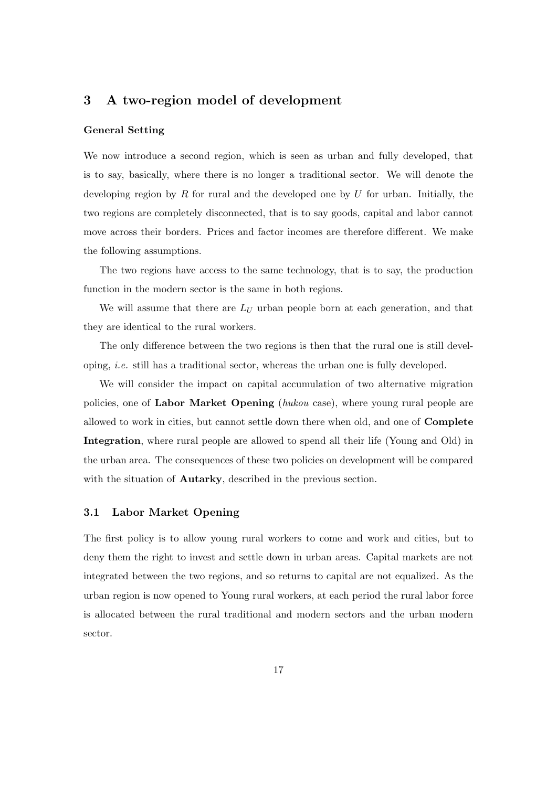# 3 A two-region model of development

#### General Setting

We now introduce a second region, which is seen as urban and fully developed, that is to say, basically, where there is no longer a traditional sector. We will denote the developing region by R for rural and the developed one by U for urban. Initially, the two regions are completely disconnected, that is to say goods, capital and labor cannot move across their borders. Prices and factor incomes are therefore different. We make the following assumptions.

The two regions have access to the same technology, that is to say, the production function in the modern sector is the same in both regions.

We will assume that there are  $L_U$  urban people born at each generation, and that they are identical to the rural workers.

The only difference between the two regions is then that the rural one is still developing, i.e. still has a traditional sector, whereas the urban one is fully developed.

We will consider the impact on capital accumulation of two alternative migration policies, one of Labor Market Opening (hukou case), where young rural people are allowed to work in cities, but cannot settle down there when old, and one of Complete Integration, where rural people are allowed to spend all their life (Young and Old) in the urban area. The consequences of these two policies on development will be compared with the situation of **Autarky**, described in the previous section.

#### 3.1 Labor Market Opening

The first policy is to allow young rural workers to come and work and cities, but to deny them the right to invest and settle down in urban areas. Capital markets are not integrated between the two regions, and so returns to capital are not equalized. As the urban region is now opened to Young rural workers, at each period the rural labor force is allocated between the rural traditional and modern sectors and the urban modern sector.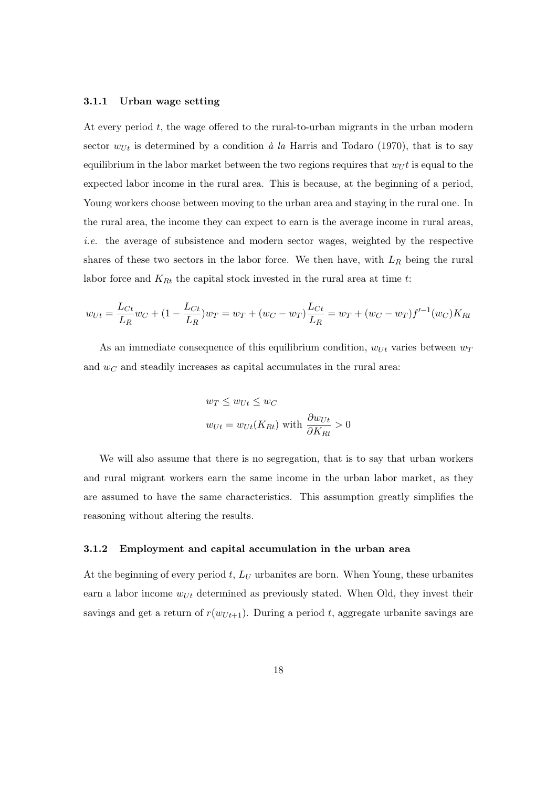#### 3.1.1 Urban wage setting

At every period  $t$ , the wage offered to the rural-to-urban migrants in the urban modern sector  $w_{Ut}$  is determined by a condition à la Harris and Todaro (1970), that is to say equilibrium in the labor market between the two regions requires that  $w_U t$  is equal to the expected labor income in the rural area. This is because, at the beginning of a period, Young workers choose between moving to the urban area and staying in the rural one. In the rural area, the income they can expect to earn is the average income in rural areas, i.e. the average of subsistence and modern sector wages, weighted by the respective shares of these two sectors in the labor force. We then have, with  $L_R$  being the rural labor force and  $K_{Rt}$  the capital stock invested in the rural area at time t:

$$
w_{Ut} = \frac{L_{Ct}}{L_R} w_C + (1 - \frac{L_{Ct}}{L_R}) w_T = w_T + (w_C - w_T) \frac{L_{Ct}}{L_R} = w_T + (w_C - w_T) f'^{-1}(w_C) K_{Rt}
$$

As an immediate consequence of this equilibrium condition,  $w_{Ut}$  varies between  $w_T$ and  $w<sub>C</sub>$  and steadily increases as capital accumulates in the rural area:

$$
w_T \le w_{Ut} \le w_C
$$
  

$$
w_{Ut} = w_{Ut}(K_{Rt}) \text{ with } \frac{\partial w_{Ut}}{\partial K_{Rt}} > 0
$$

We will also assume that there is no segregation, that is to say that urban workers and rural migrant workers earn the same income in the urban labor market, as they are assumed to have the same characteristics. This assumption greatly simplifies the reasoning without altering the results.

#### 3.1.2 Employment and capital accumulation in the urban area

At the beginning of every period  $t, L_U$  urbanites are born. When Young, these urbanites earn a labor income  $w_{Ut}$  determined as previously stated. When Old, they invest their savings and get a return of  $r(w_{U t+1})$ . During a period t, aggregate urbanite savings are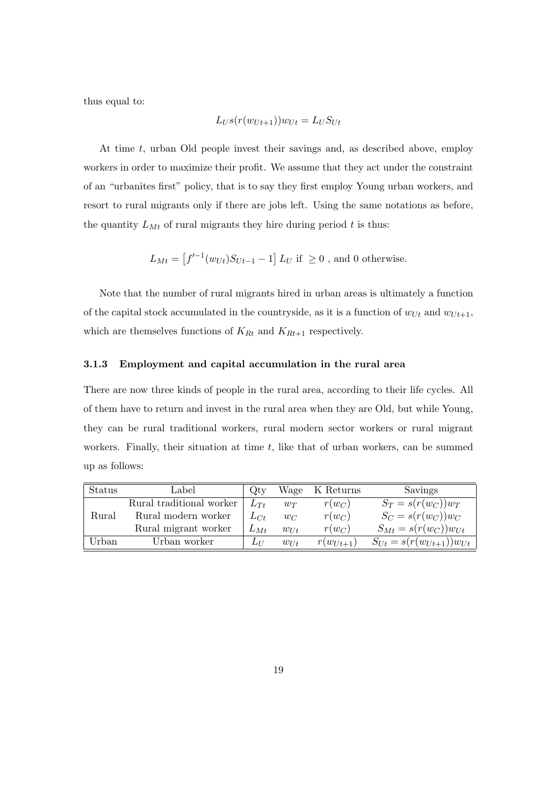thus equal to:

$$
L_{US}(r(w_{Ut+1}))w_{Ut} = L_{U}S_{Ut}
$$

At time t, urban Old people invest their savings and, as described above, employ workers in order to maximize their profit. We assume that they act under the constraint of an "urbanites first" policy, that is to say they first employ Young urban workers, and resort to rural migrants only if there are jobs left. Using the same notations as before, the quantity  $L_{Mt}$  of rural migrants they hire during period t is thus:

$$
L_{Mt} = \left[f'^{-1}(w_{Ut})S_{Ut-1} - 1\right]L_U \text{ if } \geq 0 \text{, and } 0 \text{ otherwise.}
$$

Note that the number of rural migrants hired in urban areas is ultimately a function of the capital stock accumulated in the countryside, as it is a function of  $w_{Ut}$  and  $w_{Ut+1}$ , which are themselves functions of  $K_{Rt}$  and  $K_{Rt+1}$  respectively.

#### 3.1.3 Employment and capital accumulation in the rural area

There are now three kinds of people in the rural area, according to their life cycles. All of them have to return and invest in the rural area when they are Old, but while Young, they can be rural traditional workers, rural modern sector workers or rural migrant workers. Finally, their situation at time  $t$ , like that of urban workers, can be summed up as follows:

| Status | Label                    | Qtv      | Wage     | K Returns        | Savings                         |
|--------|--------------------------|----------|----------|------------------|---------------------------------|
|        | Rural traditional worker | $L_{Tt}$ | $w_T$    | $r(w_C)$         | $S_T = s(r(w_C))w_T$            |
| Rural  | Rural modern worker      | $L_{Ct}$ | $w_C$    | $r(w_C)$         | $S_C = s(r(w_C))w_C$            |
|        | Rural migrant worker     | $L_{Mt}$ | $w_{Ut}$ | $r(w_C)$         | $S_{Mt} = s(r(w_C))w_{Ut}$      |
| Urban  | Urban worker             | $L_{II}$ | $w_{Ut}$ | $r(w_{U_{t+1}})$ | $S_{Ut} = s(r(w_{Ut+1}))w_{Ut}$ |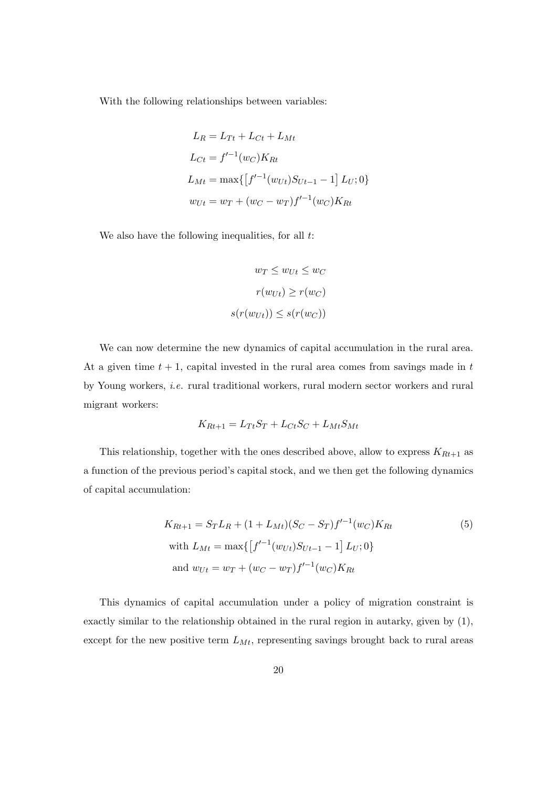With the following relationships between variables:

$$
L_R = L_{Tt} + L_{Ct} + L_{Mt}
$$
  
\n
$$
L_{Ct} = f'^{-1}(w_C)K_{Rt}
$$
  
\n
$$
L_{Mt} = \max\{ [f'^{-1}(w_{Ut})S_{Ut-1} - 1] L_U; 0 \}
$$
  
\n
$$
w_{Ut} = w_T + (w_C - w_T)f'^{-1}(w_C)K_{Rt}
$$

We also have the following inequalities, for all  $t$ :

$$
w_T \le w_{Ut} \le w_C
$$

$$
r(w_{Ut}) \ge r(w_C)
$$

$$
s(r(w_{Ut})) \le s(r(w_C))
$$

We can now determine the new dynamics of capital accumulation in the rural area. At a given time  $t + 1$ , capital invested in the rural area comes from savings made in  $t$ by Young workers, i.e. rural traditional workers, rural modern sector workers and rural migrant workers:

$$
K_{Rt+1} = L_{Tt}S_T + L_{Ct}S_C + L_{Mt}S_{Mt}
$$

This relationship, together with the ones described above, allow to express  ${\cal K}_{Rt+1}$  as a function of the previous period's capital stock, and we then get the following dynamics of capital accumulation:

$$
K_{Rt+1} = S_T L_R + (1 + L_{Mt})(S_C - S_T)f'^{-1}(w_C)K_{Rt}
$$
  
\nwith  $L_{Mt} = \max\{ [f'^{-1}(w_{Ut})S_{Ut-1} - 1] L_U; 0 \}$   
\nand  $w_{Ut} = w_T + (w_C - w_T)f'^{-1}(w_C)K_{Rt}$  (5)

This dynamics of capital accumulation under a policy of migration constraint is exactly similar to the relationship obtained in the rural region in autarky, given by (1), except for the new positive term  $L_{Mt}$ , representing savings brought back to rural areas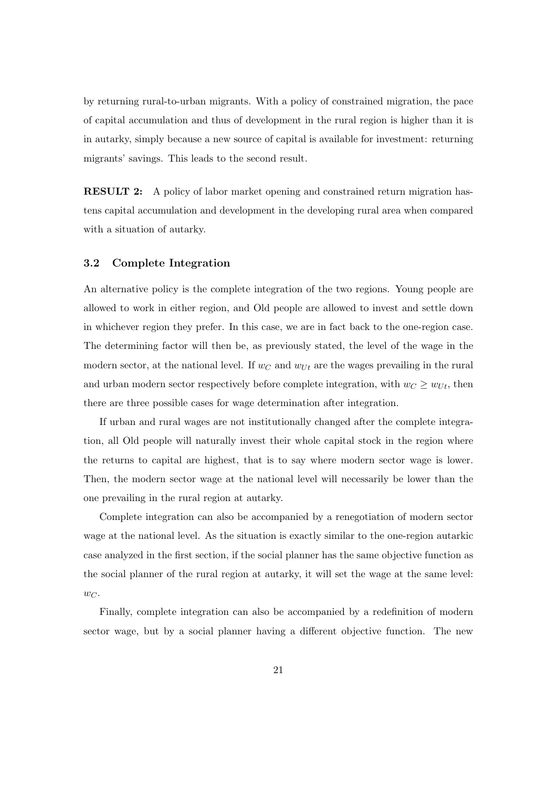by returning rural-to-urban migrants. With a policy of constrained migration, the pace of capital accumulation and thus of development in the rural region is higher than it is in autarky, simply because a new source of capital is available for investment: returning migrants' savings. This leads to the second result.

RESULT 2: A policy of labor market opening and constrained return migration hastens capital accumulation and development in the developing rural area when compared with a situation of autarky.

### 3.2 Complete Integration

An alternative policy is the complete integration of the two regions. Young people are allowed to work in either region, and Old people are allowed to invest and settle down in whichever region they prefer. In this case, we are in fact back to the one-region case. The determining factor will then be, as previously stated, the level of the wage in the modern sector, at the national level. If  $w_C$  and  $w_{Ut}$  are the wages prevailing in the rural and urban modern sector respectively before complete integration, with  $w_C \geq w_{U_t}$ , then there are three possible cases for wage determination after integration.

If urban and rural wages are not institutionally changed after the complete integration, all Old people will naturally invest their whole capital stock in the region where the returns to capital are highest, that is to say where modern sector wage is lower. Then, the modern sector wage at the national level will necessarily be lower than the one prevailing in the rural region at autarky.

Complete integration can also be accompanied by a renegotiation of modern sector wage at the national level. As the situation is exactly similar to the one-region autarkic case analyzed in the first section, if the social planner has the same objective function as the social planner of the rural region at autarky, it will set the wage at the same level:  $w_C$ .

Finally, complete integration can also be accompanied by a redefinition of modern sector wage, but by a social planner having a different objective function. The new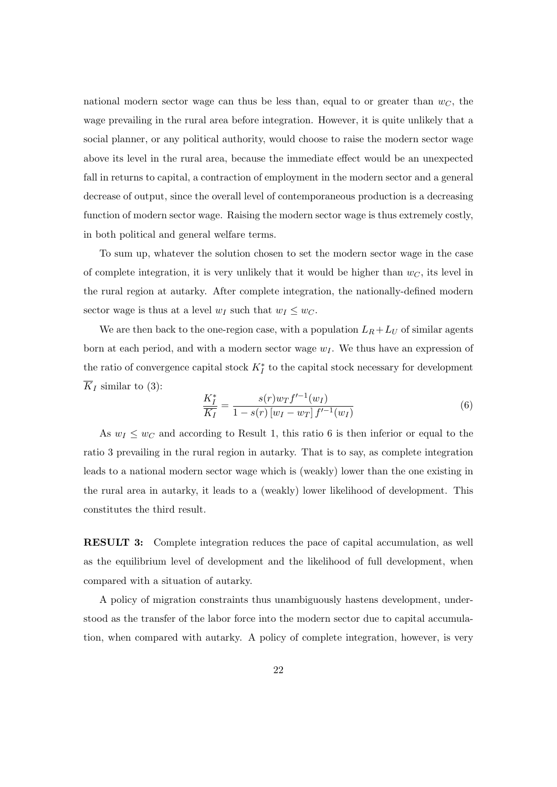national modern sector wage can thus be less than, equal to or greater than  $w<sub>C</sub>$ , the wage prevailing in the rural area before integration. However, it is quite unlikely that a social planner, or any political authority, would choose to raise the modern sector wage above its level in the rural area, because the immediate effect would be an unexpected fall in returns to capital, a contraction of employment in the modern sector and a general decrease of output, since the overall level of contemporaneous production is a decreasing function of modern sector wage. Raising the modern sector wage is thus extremely costly, in both political and general welfare terms.

To sum up, whatever the solution chosen to set the modern sector wage in the case of complete integration, it is very unlikely that it would be higher than  $w<sub>C</sub>$ , its level in the rural region at autarky. After complete integration, the nationally-defined modern sector wage is thus at a level  $w_I$  such that  $w_I \leq w_C$ .

We are then back to the one-region case, with a population  $L_R + L_U$  of similar agents born at each period, and with a modern sector wage  $w_I$ . We thus have an expression of the ratio of convergence capital stock  $K_I^*$  to the capital stock necessary for development  $\overline{K}_I$  similar to (3):

$$
\frac{K_I^*}{K_I} = \frac{s(r)w_Tf'^{-1}(w_I)}{1 - s(r)[w_I - w_T]f'^{-1}(w_I)}
$$
(6)

As  $w_I \leq w_C$  and according to Result 1, this ratio 6 is then inferior or equal to the ratio 3 prevailing in the rural region in autarky. That is to say, as complete integration leads to a national modern sector wage which is (weakly) lower than the one existing in the rural area in autarky, it leads to a (weakly) lower likelihood of development. This constitutes the third result.

RESULT 3: Complete integration reduces the pace of capital accumulation, as well as the equilibrium level of development and the likelihood of full development, when compared with a situation of autarky.

A policy of migration constraints thus unambiguously hastens development, understood as the transfer of the labor force into the modern sector due to capital accumulation, when compared with autarky. A policy of complete integration, however, is very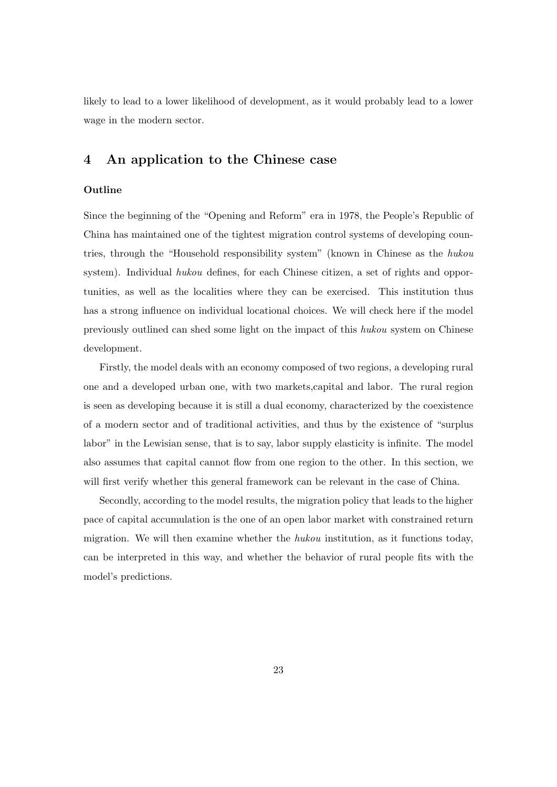likely to lead to a lower likelihood of development, as it would probably lead to a lower wage in the modern sector.

# 4 An application to the Chinese case

## **Outline**

Since the beginning of the "Opening and Reform" era in 1978, the People's Republic of China has maintained one of the tightest migration control systems of developing countries, through the "Household responsibility system" (known in Chinese as the hukou system). Individual hukou defines, for each Chinese citizen, a set of rights and opportunities, as well as the localities where they can be exercised. This institution thus has a strong influence on individual locational choices. We will check here if the model previously outlined can shed some light on the impact of this hukou system on Chinese development.

Firstly, the model deals with an economy composed of two regions, a developing rural one and a developed urban one, with two markets,capital and labor. The rural region is seen as developing because it is still a dual economy, characterized by the coexistence of a modern sector and of traditional activities, and thus by the existence of "surplus labor" in the Lewisian sense, that is to say, labor supply elasticity is infinite. The model also assumes that capital cannot flow from one region to the other. In this section, we will first verify whether this general framework can be relevant in the case of China.

Secondly, according to the model results, the migration policy that leads to the higher pace of capital accumulation is the one of an open labor market with constrained return migration. We will then examine whether the  $hukou$  institution, as it functions today, can be interpreted in this way, and whether the behavior of rural people fits with the model's predictions.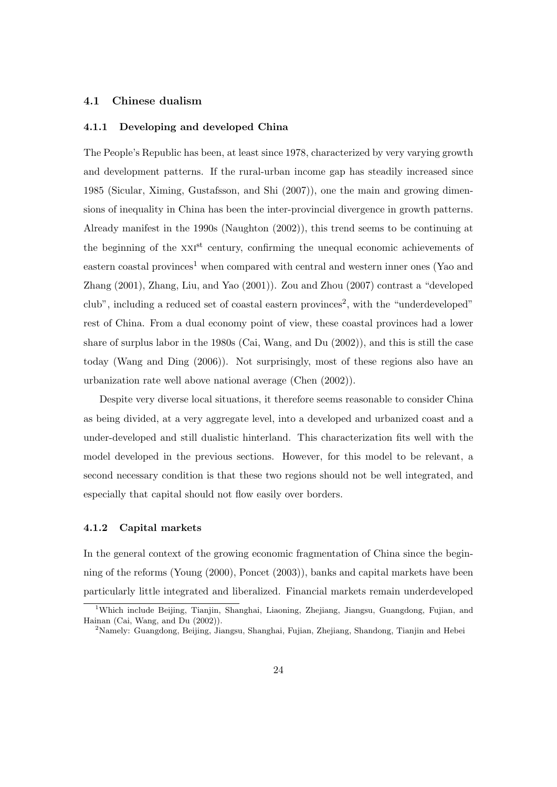## 4.1 Chinese dualism

#### 4.1.1 Developing and developed China

The People's Republic has been, at least since 1978, characterized by very varying growth and development patterns. If the rural-urban income gap has steadily increased since 1985 (Sicular, Ximing, Gustafsson, and Shi (2007)), one the main and growing dimensions of inequality in China has been the inter-provincial divergence in growth patterns. Already manifest in the 1990s (Naughton (2002)), this trend seems to be continuing at the beginning of the XXI<sup>st</sup> century, confirming the unequal economic achievements of eastern coastal provinces<sup>1</sup> when compared with central and western inner ones (Yao and Zhang (2001), Zhang, Liu, and Yao (2001)). Zou and Zhou (2007) contrast a "developed club", including a reduced set of coastal eastern provinces<sup>2</sup>, with the "underdeveloped" rest of China. From a dual economy point of view, these coastal provinces had a lower share of surplus labor in the 1980s (Cai, Wang, and Du (2002)), and this is still the case today (Wang and Ding (2006)). Not surprisingly, most of these regions also have an urbanization rate well above national average (Chen (2002)).

Despite very diverse local situations, it therefore seems reasonable to consider China as being divided, at a very aggregate level, into a developed and urbanized coast and a under-developed and still dualistic hinterland. This characterization fits well with the model developed in the previous sections. However, for this model to be relevant, a second necessary condition is that these two regions should not be well integrated, and especially that capital should not flow easily over borders.

#### 4.1.2 Capital markets

In the general context of the growing economic fragmentation of China since the beginning of the reforms (Young (2000), Poncet (2003)), banks and capital markets have been particularly little integrated and liberalized. Financial markets remain underdeveloped

<sup>&</sup>lt;sup>1</sup>Which include Beijing, Tianjin, Shanghai, Liaoning, Zhejiang, Jiangsu, Guangdong, Fujian, and Hainan (Cai, Wang, and Du (2002)).

<sup>2</sup>Namely: Guangdong, Beijing, Jiangsu, Shanghai, Fujian, Zhejiang, Shandong, Tianjin and Hebei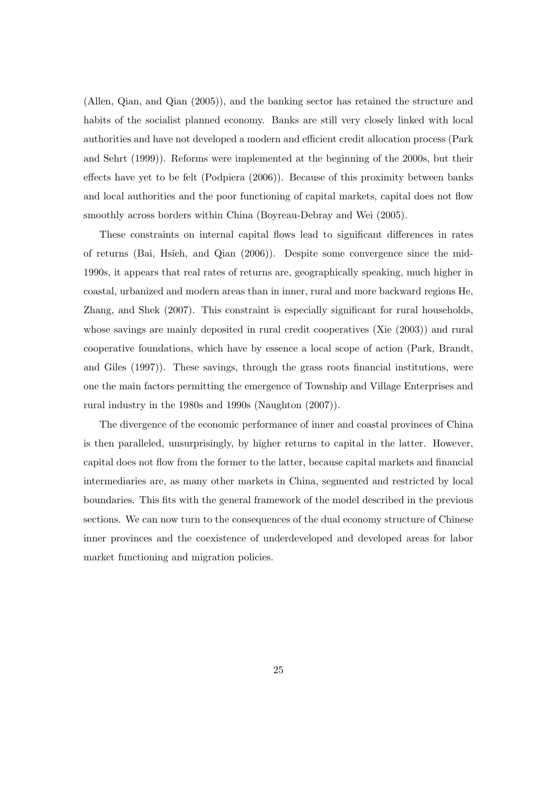(Allen, Qian, and Qian (2005)), and the banking sector has retained the structure and habits of the socialist planned economy. Banks are still very closely linked with local authorities and have not developed a modern and efficient credit allocation process (Park and Sehrt (1999)). Reforms were implemented at the beginning of the 2000s, but their effects have yet to be felt (Podpiera (2006)). Because of this proximity between banks and local authorities and the poor functioning of capital markets, capital does not flow smoothly across borders within China (Boyreau-Debray and Wei (2005).

These constraints on internal capital flows lead to significant differences in rates of returns (Bai, Hsieh, and Qian (2006)). Despite some convergence since the mid-1990s, it appears that real rates of returns are, geographically speaking, much higher in coastal, urbanized and modern areas than in inner, rural and more backward regions He, Zhang, and Shek (2007). This constraint is especially significant for rural households, whose savings are mainly deposited in rural credit cooperatives (Xie (2003)) and rural cooperative foundations, which have by essence a local scope of action (Park, Brandt, and Giles (1997)). These savings, through the grass roots financial institutions, were one the main factors permitting the emergence of Township and Village Enterprises and rural industry in the 1980s and 1990s (Naughton (2007)).

The divergence of the economic performance of inner and coastal provinces of China is then paralleled, unsurprisingly, by higher returns to capital in the latter. However, capital does not flow from the former to the latter, because capital markets and financial intermediaries are, as many other markets in China, segmented and restricted by local boundaries. This fits with the general framework of the model described in the previous sections. We can now turn to the consequences of the dual economy structure of Chinese inner provinces and the coexistence of underdeveloped and developed areas for labor market functioning and migration policies.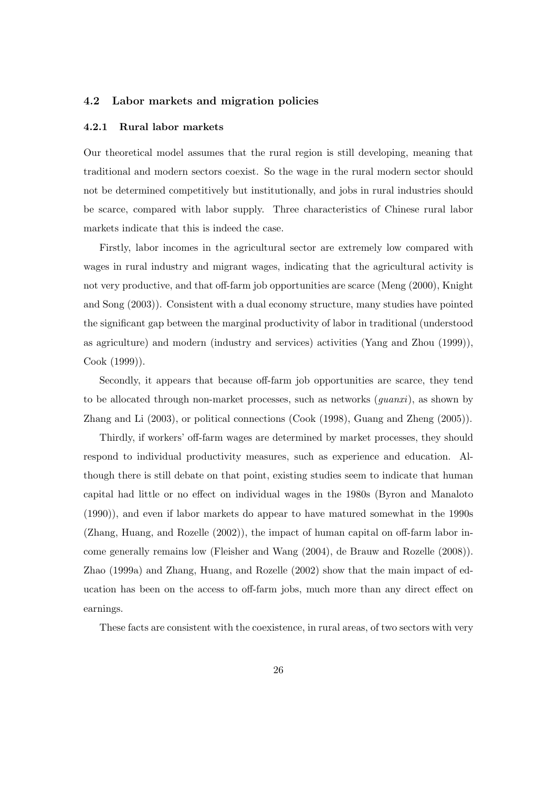## 4.2 Labor markets and migration policies

#### 4.2.1 Rural labor markets

Our theoretical model assumes that the rural region is still developing, meaning that traditional and modern sectors coexist. So the wage in the rural modern sector should not be determined competitively but institutionally, and jobs in rural industries should be scarce, compared with labor supply. Three characteristics of Chinese rural labor markets indicate that this is indeed the case.

Firstly, labor incomes in the agricultural sector are extremely low compared with wages in rural industry and migrant wages, indicating that the agricultural activity is not very productive, and that off-farm job opportunities are scarce (Meng (2000), Knight and Song (2003)). Consistent with a dual economy structure, many studies have pointed the significant gap between the marginal productivity of labor in traditional (understood as agriculture) and modern (industry and services) activities (Yang and Zhou (1999)), Cook (1999)).

Secondly, it appears that because off-farm job opportunities are scarce, they tend to be allocated through non-market processes, such as networks  $(quanti)$ , as shown by Zhang and Li (2003), or political connections (Cook (1998), Guang and Zheng (2005)).

Thirdly, if workers' off-farm wages are determined by market processes, they should respond to individual productivity measures, such as experience and education. Although there is still debate on that point, existing studies seem to indicate that human capital had little or no effect on individual wages in the 1980s (Byron and Manaloto (1990)), and even if labor markets do appear to have matured somewhat in the 1990s (Zhang, Huang, and Rozelle (2002)), the impact of human capital on off-farm labor income generally remains low (Fleisher and Wang (2004), de Brauw and Rozelle (2008)). Zhao (1999a) and Zhang, Huang, and Rozelle (2002) show that the main impact of education has been on the access to off-farm jobs, much more than any direct effect on earnings.

These facts are consistent with the coexistence, in rural areas, of two sectors with very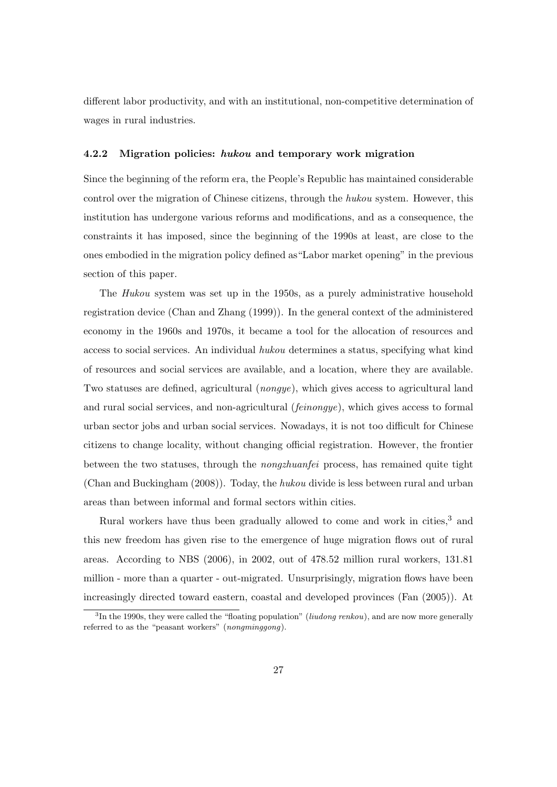different labor productivity, and with an institutional, non-competitive determination of wages in rural industries.

## 4.2.2 Migration policies: hukou and temporary work migration

Since the beginning of the reform era, the People's Republic has maintained considerable control over the migration of Chinese citizens, through the hukou system. However, this institution has undergone various reforms and modifications, and as a consequence, the constraints it has imposed, since the beginning of the 1990s at least, are close to the ones embodied in the migration policy defined as"Labor market opening" in the previous section of this paper.

The Hukou system was set up in the 1950s, as a purely administrative household registration device (Chan and Zhang (1999)). In the general context of the administered economy in the 1960s and 1970s, it became a tool for the allocation of resources and access to social services. An individual hukou determines a status, specifying what kind of resources and social services are available, and a location, where they are available. Two statuses are defined, agricultural (nongye), which gives access to agricultural land and rural social services, and non-agricultural (*feinongye*), which gives access to formal urban sector jobs and urban social services. Nowadays, it is not too difficult for Chinese citizens to change locality, without changing official registration. However, the frontier between the two statuses, through the nongzhuanfei process, has remained quite tight (Chan and Buckingham (2008)). Today, the hukou divide is less between rural and urban areas than between informal and formal sectors within cities.

Rural workers have thus been gradually allowed to come and work in cities,<sup>3</sup> and this new freedom has given rise to the emergence of huge migration flows out of rural areas. According to NBS (2006), in 2002, out of 478.52 million rural workers, 131.81 million - more than a quarter - out-migrated. Unsurprisingly, migration flows have been increasingly directed toward eastern, coastal and developed provinces (Fan (2005)). At

<sup>&</sup>lt;sup>3</sup>In the 1990s, they were called the "floating population" (*liudong renkou*), and are now more generally referred to as the "peasant workers" (nongminggong).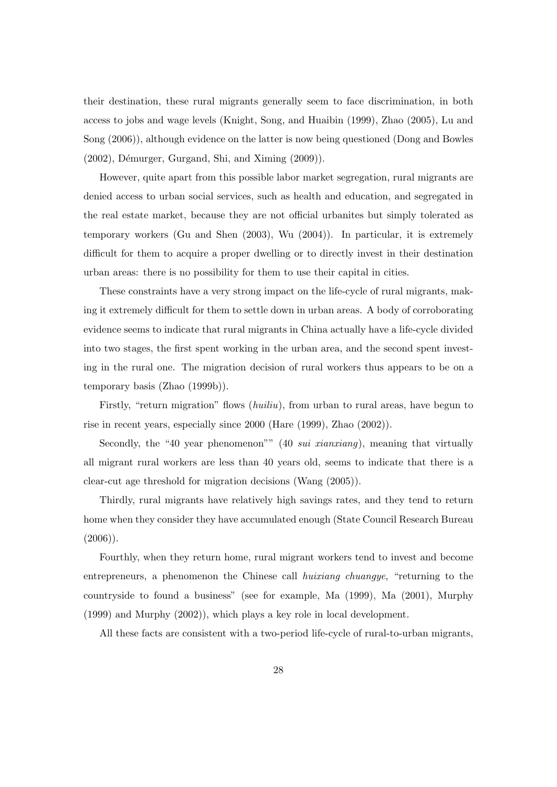their destination, these rural migrants generally seem to face discrimination, in both access to jobs and wage levels (Knight, Song, and Huaibin (1999), Zhao (2005), Lu and Song (2006)), although evidence on the latter is now being questioned (Dong and Bowles  $(2002)$ , Démurger, Gurgand, Shi, and Ximing  $(2009)$ ).

However, quite apart from this possible labor market segregation, rural migrants are denied access to urban social services, such as health and education, and segregated in the real estate market, because they are not official urbanites but simply tolerated as temporary workers (Gu and Shen (2003), Wu (2004)). In particular, it is extremely difficult for them to acquire a proper dwelling or to directly invest in their destination urban areas: there is no possibility for them to use their capital in cities.

These constraints have a very strong impact on the life-cycle of rural migrants, making it extremely difficult for them to settle down in urban areas. A body of corroborating evidence seems to indicate that rural migrants in China actually have a life-cycle divided into two stages, the first spent working in the urban area, and the second spent investing in the rural one. The migration decision of rural workers thus appears to be on a temporary basis (Zhao (1999b)).

Firstly, "return migration" flows *(huiliu)*, from urban to rural areas, have begun to rise in recent years, especially since 2000 (Hare (1999), Zhao (2002)).

Secondly, the "40 year phenomenon"" (40 *sui xianxiang*), meaning that virtually all migrant rural workers are less than 40 years old, seems to indicate that there is a clear-cut age threshold for migration decisions (Wang (2005)).

Thirdly, rural migrants have relatively high savings rates, and they tend to return home when they consider they have accumulated enough (State Council Research Bureau  $(2006)$ ).

Fourthly, when they return home, rural migrant workers tend to invest and become entrepreneurs, a phenomenon the Chinese call huixiang chuangye, "returning to the countryside to found a business" (see for example, Ma (1999), Ma (2001), Murphy (1999) and Murphy (2002)), which plays a key role in local development.

All these facts are consistent with a two-period life-cycle of rural-to-urban migrants,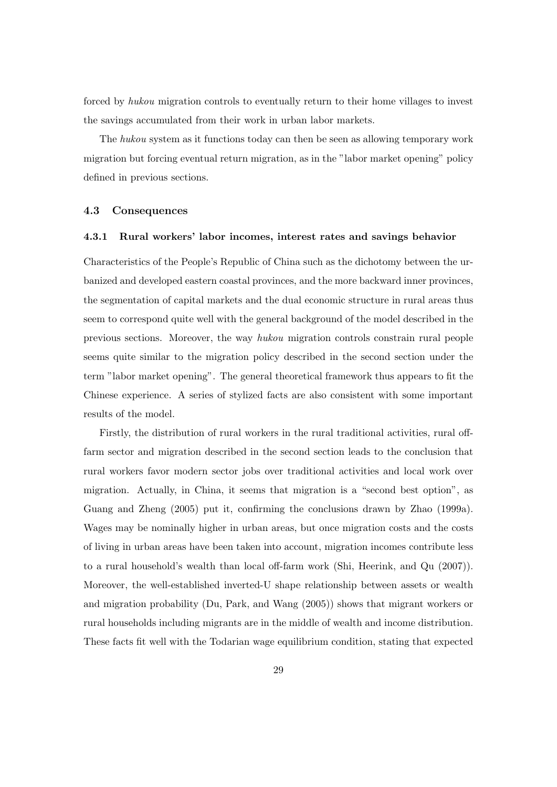forced by hukou migration controls to eventually return to their home villages to invest the savings accumulated from their work in urban labor markets.

The hukou system as it functions today can then be seen as allowing temporary work migration but forcing eventual return migration, as in the "labor market opening" policy defined in previous sections.

## 4.3 Consequences

#### 4.3.1 Rural workers' labor incomes, interest rates and savings behavior

Characteristics of the People's Republic of China such as the dichotomy between the urbanized and developed eastern coastal provinces, and the more backward inner provinces, the segmentation of capital markets and the dual economic structure in rural areas thus seem to correspond quite well with the general background of the model described in the previous sections. Moreover, the way hukou migration controls constrain rural people seems quite similar to the migration policy described in the second section under the term "labor market opening". The general theoretical framework thus appears to fit the Chinese experience. A series of stylized facts are also consistent with some important results of the model.

Firstly, the distribution of rural workers in the rural traditional activities, rural offfarm sector and migration described in the second section leads to the conclusion that rural workers favor modern sector jobs over traditional activities and local work over migration. Actually, in China, it seems that migration is a "second best option", as Guang and Zheng (2005) put it, confirming the conclusions drawn by Zhao (1999a). Wages may be nominally higher in urban areas, but once migration costs and the costs of living in urban areas have been taken into account, migration incomes contribute less to a rural household's wealth than local off-farm work (Shi, Heerink, and Qu (2007)). Moreover, the well-established inverted-U shape relationship between assets or wealth and migration probability (Du, Park, and Wang (2005)) shows that migrant workers or rural households including migrants are in the middle of wealth and income distribution. These facts fit well with the Todarian wage equilibrium condition, stating that expected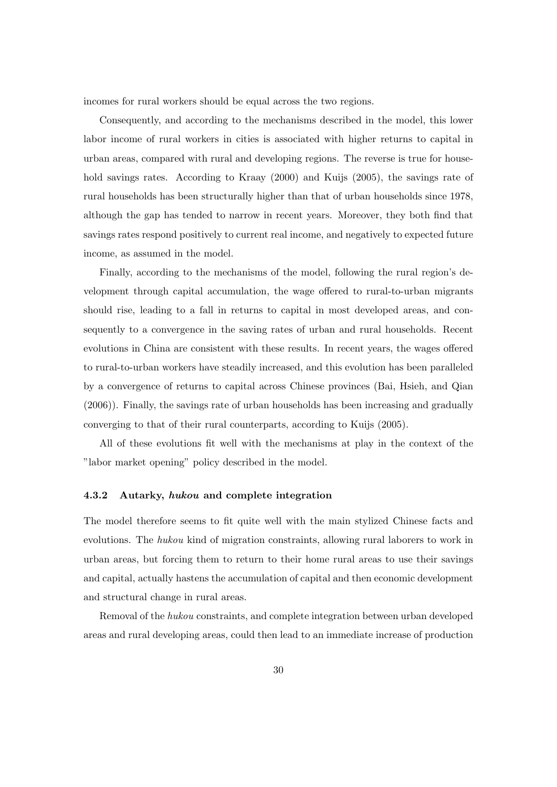incomes for rural workers should be equal across the two regions.

Consequently, and according to the mechanisms described in the model, this lower labor income of rural workers in cities is associated with higher returns to capital in urban areas, compared with rural and developing regions. The reverse is true for household savings rates. According to Kraay (2000) and Kuijs (2005), the savings rate of rural households has been structurally higher than that of urban households since 1978, although the gap has tended to narrow in recent years. Moreover, they both find that savings rates respond positively to current real income, and negatively to expected future income, as assumed in the model.

Finally, according to the mechanisms of the model, following the rural region's development through capital accumulation, the wage offered to rural-to-urban migrants should rise, leading to a fall in returns to capital in most developed areas, and consequently to a convergence in the saving rates of urban and rural households. Recent evolutions in China are consistent with these results. In recent years, the wages offered to rural-to-urban workers have steadily increased, and this evolution has been paralleled by a convergence of returns to capital across Chinese provinces (Bai, Hsieh, and Qian (2006)). Finally, the savings rate of urban households has been increasing and gradually converging to that of their rural counterparts, according to Kuijs (2005).

All of these evolutions fit well with the mechanisms at play in the context of the "labor market opening" policy described in the model.

#### 4.3.2 Autarky, hukou and complete integration

The model therefore seems to fit quite well with the main stylized Chinese facts and evolutions. The hukou kind of migration constraints, allowing rural laborers to work in urban areas, but forcing them to return to their home rural areas to use their savings and capital, actually hastens the accumulation of capital and then economic development and structural change in rural areas.

Removal of the hukou constraints, and complete integration between urban developed areas and rural developing areas, could then lead to an immediate increase of production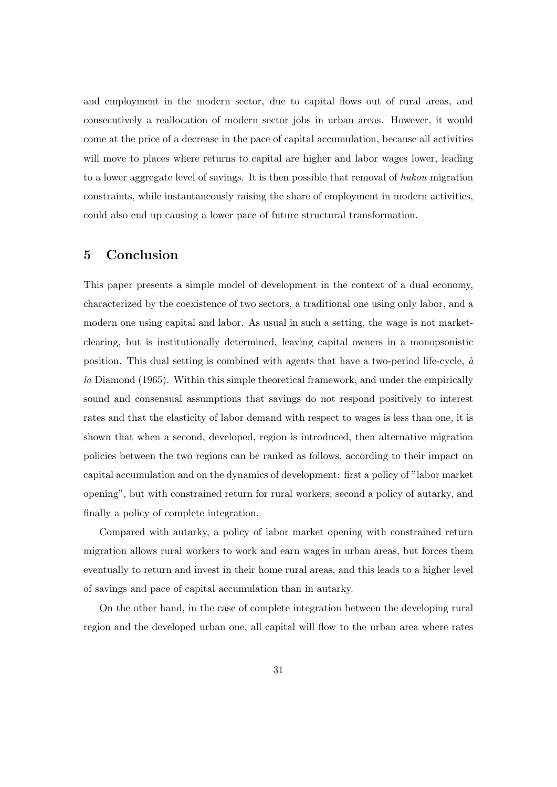and employment in the modern sector, due to capital flows out of rural areas, and consecutively a reallocation of modern sector jobs in urban areas. However, it would come at the price of a decrease in the pace of capital accumulation, because all activities will move to places where returns to capital are higher and labor wages lower, leading to a lower aggregate level of savings. It is then possible that removal of hukou migration constraints, while instantaneously raising the share of employment in modern activities, could also end up causing a lower pace of future structural transformation.

# 5 Conclusion

This paper presents a simple model of development in the context of a dual economy, characterized by the coexistence of two sectors, a traditional one using only labor, and a modern one using capital and labor. As usual in such a setting, the wage is not marketclearing, but is institutionally determined, leaving capital owners in a monopsonistic position. This dual setting is combined with agents that have a two-period life-cycle,  $\dot{a}$ la Diamond (1965). Within this simple theoretical framework, and under the empirically sound and consensual assumptions that savings do not respond positively to interest rates and that the elasticity of labor demand with respect to wages is less than one, it is shown that when a second, developed, region is introduced, then alternative migration policies between the two regions can be ranked as follows, according to their impact on capital accumulation and on the dynamics of development: first a policy of "labor market opening", but with constrained return for rural workers; second a policy of autarky, and finally a policy of complete integration.

Compared with autarky, a policy of labor market opening with constrained return migration allows rural workers to work and earn wages in urban areas, but forces them eventually to return and invest in their home rural areas, and this leads to a higher level of savings and pace of capital accumulation than in autarky.

On the other hand, in the case of complete integration between the developing rural region and the developed urban one, all capital will flow to the urban area where rates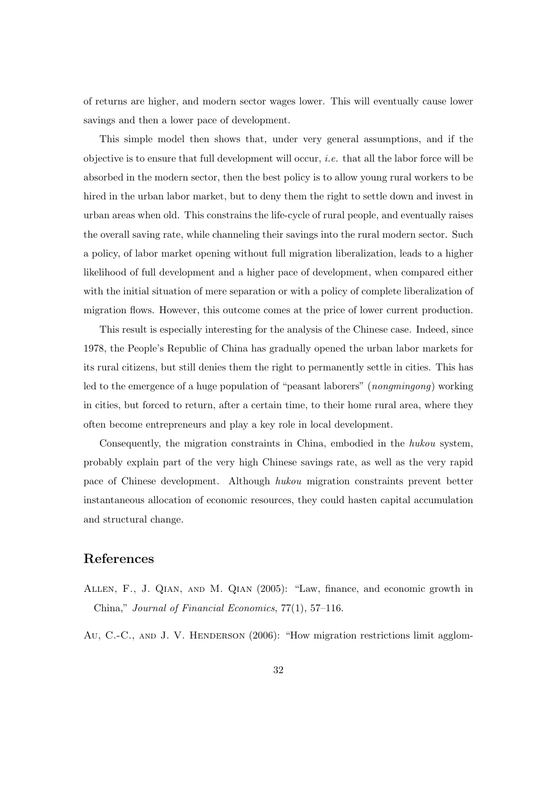of returns are higher, and modern sector wages lower. This will eventually cause lower savings and then a lower pace of development.

This simple model then shows that, under very general assumptions, and if the objective is to ensure that full development will occur, *i.e.* that all the labor force will be absorbed in the modern sector, then the best policy is to allow young rural workers to be hired in the urban labor market, but to deny them the right to settle down and invest in urban areas when old. This constrains the life-cycle of rural people, and eventually raises the overall saving rate, while channeling their savings into the rural modern sector. Such a policy, of labor market opening without full migration liberalization, leads to a higher likelihood of full development and a higher pace of development, when compared either with the initial situation of mere separation or with a policy of complete liberalization of migration flows. However, this outcome comes at the price of lower current production.

This result is especially interesting for the analysis of the Chinese case. Indeed, since 1978, the People's Republic of China has gradually opened the urban labor markets for its rural citizens, but still denies them the right to permanently settle in cities. This has led to the emergence of a huge population of "peasant laborers" (nongmingong) working in cities, but forced to return, after a certain time, to their home rural area, where they often become entrepreneurs and play a key role in local development.

Consequently, the migration constraints in China, embodied in the hukou system, probably explain part of the very high Chinese savings rate, as well as the very rapid pace of Chinese development. Although hukou migration constraints prevent better instantaneous allocation of economic resources, they could hasten capital accumulation and structural change.

# References

- Allen, F., J. Qian, and M. Qian (2005): "Law, finance, and economic growth in China," Journal of Financial Economics, 77(1), 57–116.
- Au, C.-C., AND J. V. HENDERSON (2006): "How migration restrictions limit agglom-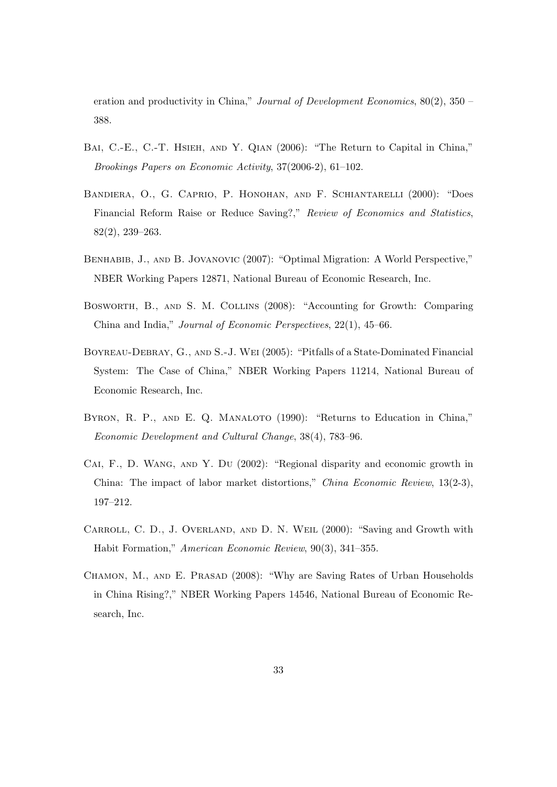eration and productivity in China," *Journal of Development Economics*,  $80(2)$ ,  $350$  – 388.

- BAI, C.-E., C.-T. HSIEH, AND Y. QIAN (2006): "The Return to Capital in China," Brookings Papers on Economic Activity, 37(2006-2), 61–102.
- Bandiera, O., G. Caprio, P. Honohan, and F. Schiantarelli (2000): "Does Financial Reform Raise or Reduce Saving?," Review of Economics and Statistics, 82(2), 239–263.
- Benhabib, J., and B. Jovanovic (2007): "Optimal Migration: A World Perspective," NBER Working Papers 12871, National Bureau of Economic Research, Inc.
- Bosworth, B., and S. M. Collins (2008): "Accounting for Growth: Comparing China and India," Journal of Economic Perspectives, 22(1), 45–66.
- Boyreau-Debray, G., and S.-J. Wei (2005): "Pitfalls of a State-Dominated Financial System: The Case of China," NBER Working Papers 11214, National Bureau of Economic Research, Inc.
- BYRON, R. P., AND E. Q. MANALOTO (1990): "Returns to Education in China," Economic Development and Cultural Change, 38(4), 783–96.
- Cai, F., D. Wang, and Y. Du (2002): "Regional disparity and economic growth in China: The impact of labor market distortions," China Economic Review, 13(2-3), 197–212.
- Carroll, C. D., J. Overland, and D. N. Weil (2000): "Saving and Growth with Habit Formation," American Economic Review, 90(3), 341–355.
- CHAMON, M., AND E. PRASAD (2008): "Why are Saving Rates of Urban Households in China Rising?," NBER Working Papers 14546, National Bureau of Economic Research, Inc.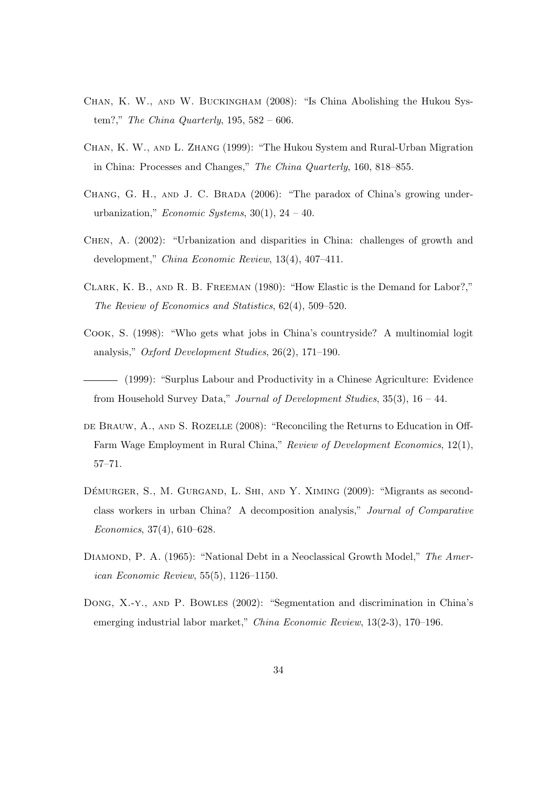- Chan, K. W., and W. Buckingham (2008): "Is China Abolishing the Hukou System?," The China Quarterly,  $195, 582 - 606$ .
- Chan, K. W., and L. Zhang (1999): "The Hukou System and Rural-Urban Migration in China: Processes and Changes," The China Quarterly, 160, 818–855.
- CHANG, G. H., AND J. C. BRADA (2006): "The paradox of China's growing underurbanization," Economic Systems,  $30(1)$ ,  $24 - 40$ .
- Chen, A. (2002): "Urbanization and disparities in China: challenges of growth and development," China Economic Review, 13(4), 407–411.
- Clark, K. B., and R. B. Freeman (1980): "How Elastic is the Demand for Labor?," The Review of Economics and Statistics, 62(4), 509–520.
- Cook, S. (1998): "Who gets what jobs in China's countryside? A multinomial logit analysis," Oxford Development Studies, 26(2), 171–190.
- (1999): "Surplus Labour and Productivity in a Chinese Agriculture: Evidence from Household Survey Data," Journal of Development Studies,  $35(3)$ ,  $16 - 44$ .
- de Brauw, A., and S. Rozelle (2008): "Reconciling the Returns to Education in Off-Farm Wage Employment in Rural China," Review of Development Economics, 12(1), 57–71.
- DÉMURGER, S., M. GURGAND, L. SHI, AND Y. XIMING (2009): "Migrants as secondclass workers in urban China? A decomposition analysis," Journal of Comparative Economics, 37(4), 610–628.
- DIAMOND, P. A. (1965): "National Debt in a Neoclassical Growth Model," The American Economic Review, 55(5), 1126–1150.
- Dong, X.-y., and P. Bowles (2002): "Segmentation and discrimination in China's emerging industrial labor market," China Economic Review, 13(2-3), 170–196.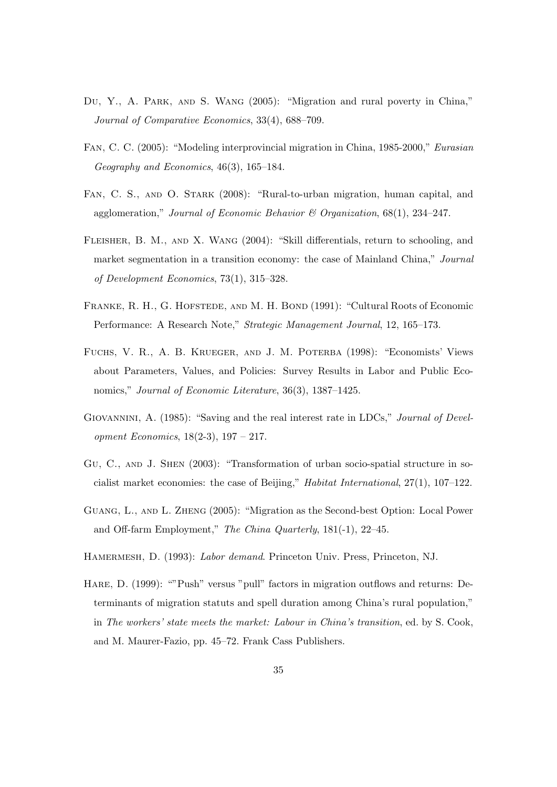- Du, Y., A. PARK, AND S. WANG (2005): "Migration and rural poverty in China," Journal of Comparative Economics, 33(4), 688–709.
- Fan, C. C. (2005): "Modeling interprovincial migration in China, 1985-2000," Eurasian Geography and Economics, 46(3), 165–184.
- FAN, C. S., AND O. STARK (2008): "Rural-to-urban migration, human capital, and agglomeration," Journal of Economic Behavior & Organization,  $68(1)$ ,  $234-247$ .
- Fleisher, B. M., and X. Wang (2004): "Skill differentials, return to schooling, and market segmentation in a transition economy: the case of Mainland China," Journal of Development Economics, 73(1), 315–328.
- FRANKE, R. H., G. HOFSTEDE, AND M. H. BOND (1991): "Cultural Roots of Economic Performance: A Research Note," Strategic Management Journal, 12, 165–173.
- Fuchs, V. R., A. B. Krueger, and J. M. Poterba (1998): "Economists' Views about Parameters, Values, and Policies: Survey Results in Labor and Public Economics," Journal of Economic Literature, 36(3), 1387–1425.
- GIOVANNINI, A. (1985): "Saving and the real interest rate in LDCs," Journal of Development Economics, 18(2-3), 197 – 217.
- Gu, C., and J. Shen (2003): "Transformation of urban socio-spatial structure in socialist market economies: the case of Beijing," Habitat International, 27(1), 107–122.
- Guang, L., and L. Zheng (2005): "Migration as the Second-best Option: Local Power and Off-farm Employment," The China Quarterly, 181(-1), 22–45.
- HAMERMESH, D. (1993): Labor demand. Princeton Univ. Press, Princeton, NJ.
- Hare, D. (1999): ""Push" versus "pull" factors in migration outflows and returns: Determinants of migration statuts and spell duration among China's rural population," in The workers' state meets the market: Labour in China's transition, ed. by S. Cook, and M. Maurer-Fazio, pp. 45–72. Frank Cass Publishers.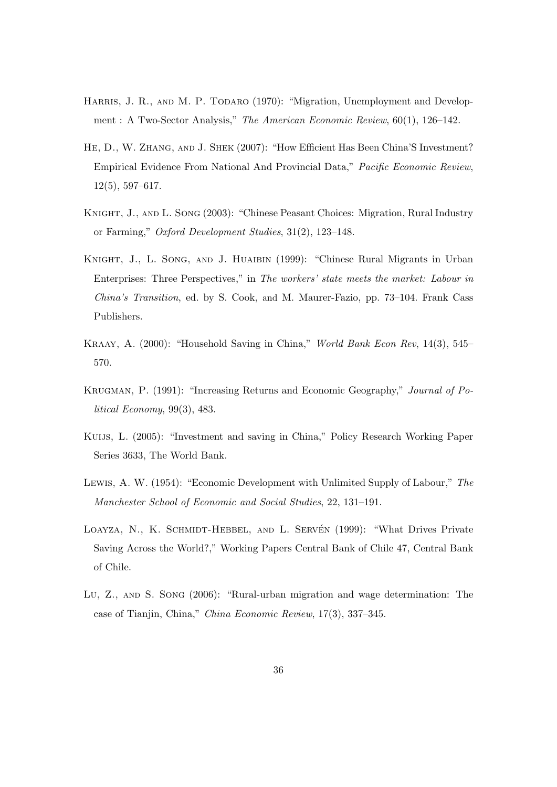- HARRIS, J. R., AND M. P. TODARO (1970): "Migration, Unemployment and Development : A Two-Sector Analysis," The American Economic Review, 60(1), 126–142.
- HE, D., W. ZHANG, AND J. SHEK (2007): "How Efficient Has Been China'S Investment? Empirical Evidence From National And Provincial Data," Pacific Economic Review, 12(5), 597–617.
- Knight, J., and L. Song (2003): "Chinese Peasant Choices: Migration, Rural Industry or Farming," Oxford Development Studies, 31(2), 123–148.
- KNIGHT, J., L. SONG, AND J. HUAIBIN (1999): "Chinese Rural Migrants in Urban Enterprises: Three Perspectives," in The workers' state meets the market: Labour in China's Transition, ed. by S. Cook, and M. Maurer-Fazio, pp. 73–104. Frank Cass Publishers.
- Kraay, A. (2000): "Household Saving in China," World Bank Econ Rev, 14(3), 545– 570.
- Krugman, P. (1991): "Increasing Returns and Economic Geography," Journal of Political Economy, 99(3), 483.
- Kuijs, L. (2005): "Investment and saving in China," Policy Research Working Paper Series 3633, The World Bank.
- Lewis, A. W. (1954): "Economic Development with Unlimited Supply of Labour," The Manchester School of Economic and Social Studies, 22, 131–191.
- LOAYZA, N., K. SCHMIDT-HEBBEL, AND L. SERVÉN (1999): "What Drives Private Saving Across the World?," Working Papers Central Bank of Chile 47, Central Bank of Chile.
- Lu, Z., and S. Song (2006): "Rural-urban migration and wage determination: The case of Tianjin, China," China Economic Review, 17(3), 337–345.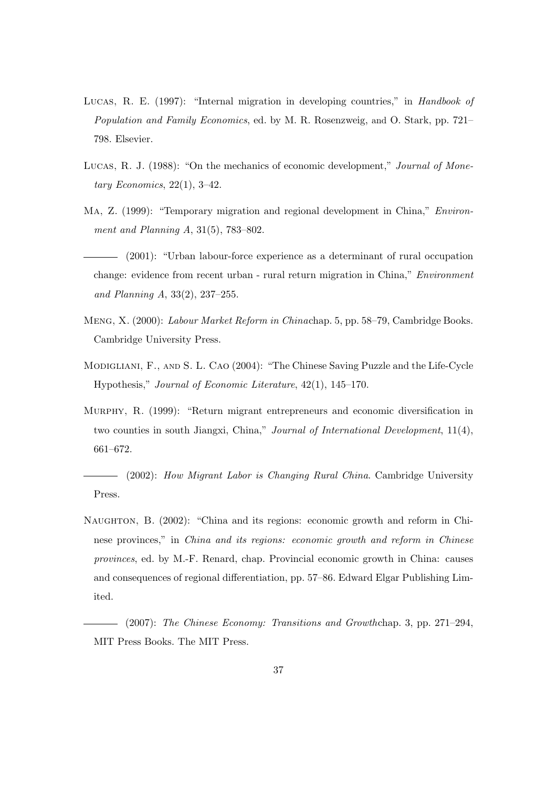- LUCAS, R. E. (1997): "Internal migration in developing countries," in Handbook of Population and Family Economics, ed. by M. R. Rosenzweig, and O. Stark, pp. 721– 798. Elsevier.
- LUCAS, R. J. (1988): "On the mechanics of economic development," Journal of Monetary Economics,  $22(1)$ ,  $3-42$ .
- Ma, Z. (1999): "Temporary migration and regional development in China," Environment and Planning A, 31(5), 783–802.
- (2001): "Urban labour-force experience as a determinant of rural occupation change: evidence from recent urban - rural return migration in China," Environment and Planning A, 33(2), 237–255.
- Meng, X. (2000): Labour Market Reform in Chinachap. 5, pp. 58–79, Cambridge Books. Cambridge University Press.
- Modigliani, F., and S. L. Cao (2004): "The Chinese Saving Puzzle and the Life-Cycle Hypothesis," Journal of Economic Literature, 42(1), 145–170.
- Murphy, R. (1999): "Return migrant entrepreneurs and economic diversification in two counties in south Jiangxi, China," Journal of International Development, 11(4), 661–672.

(2002): How Migrant Labor is Changing Rural China. Cambridge University Press.

- Naughton, B. (2002): "China and its regions: economic growth and reform in Chinese provinces," in China and its regions: economic growth and reform in Chinese provinces, ed. by M.-F. Renard, chap. Provincial economic growth in China: causes and consequences of regional differentiation, pp. 57–86. Edward Elgar Publishing Limited.
- (2007): The Chinese Economy: Transitions and Growthchap. 3, pp. 271–294, MIT Press Books. The MIT Press.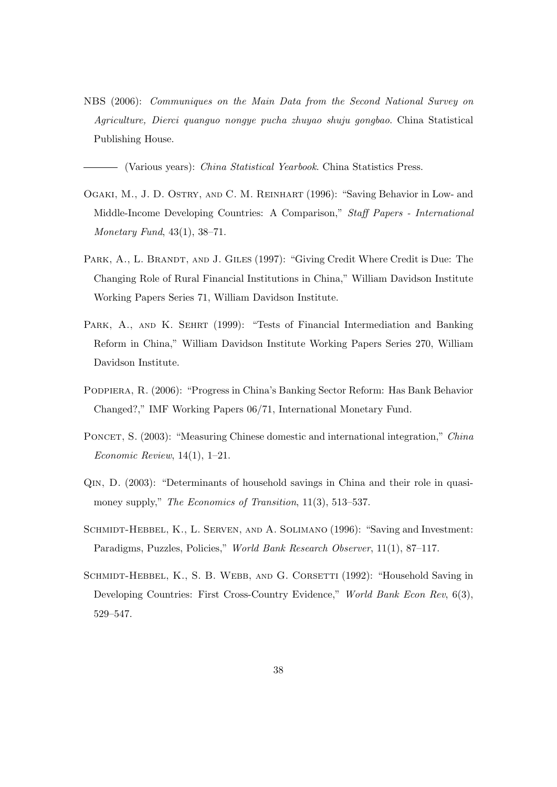NBS (2006): Communiques on the Main Data from the Second National Survey on Agriculture, Dierci quanguo nongye pucha zhuyao shuju gongbao. China Statistical Publishing House.

- (Various years): *China Statistical Yearbook*. China Statistics Press.

- Ogaki, M., J. D. Ostry, and C. M. Reinhart (1996): "Saving Behavior in Low- and Middle-Income Developing Countries: A Comparison," Staff Papers - International Monetary Fund, 43(1), 38–71.
- PARK, A., L. BRANDT, AND J. GILES (1997): "Giving Credit Where Credit is Due: The Changing Role of Rural Financial Institutions in China," William Davidson Institute Working Papers Series 71, William Davidson Institute.
- PARK, A., AND K. SEHRT (1999): "Tests of Financial Intermediation and Banking Reform in China," William Davidson Institute Working Papers Series 270, William Davidson Institute.
- Podpiera, R. (2006): "Progress in China's Banking Sector Reform: Has Bank Behavior Changed?," IMF Working Papers 06/71, International Monetary Fund.
- PONCET, S. (2003): "Measuring Chinese domestic and international integration," China Economic Review, 14(1), 1–21.
- Qin, D. (2003): "Determinants of household savings in China and their role in quasimoney supply," The Economics of Transition, 11(3), 513-537.
- Schmidt-Hebbel, K., L. Serven, and A. Solimano (1996): "Saving and Investment: Paradigms, Puzzles, Policies," World Bank Research Observer, 11(1), 87–117.
- SCHMIDT-HEBBEL, K., S. B. WEBB, AND G. CORSETTI (1992): "Household Saving in Developing Countries: First Cross-Country Evidence," World Bank Econ Rev, 6(3), 529–547.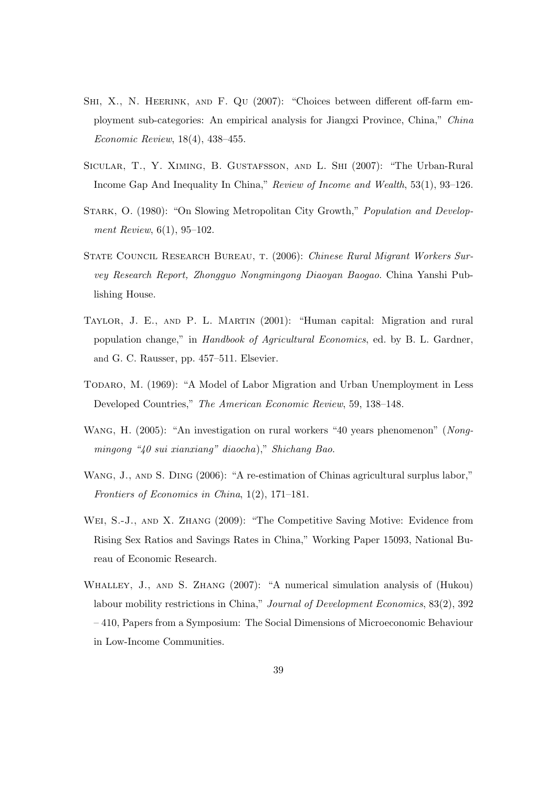- SHI, X., N. HEERINK, AND F. QU (2007): "Choices between different off-farm employment sub-categories: An empirical analysis for Jiangxi Province, China," China Economic Review, 18(4), 438–455.
- Sicular, T., Y. Ximing, B. Gustafsson, and L. Shi (2007): "The Urban-Rural Income Gap And Inequality In China," Review of Income and Wealth, 53(1), 93–126.
- STARK, O. (1980): "On Slowing Metropolitan City Growth," *Population and Develop*ment Review, 6(1), 95–102.
- STATE COUNCIL RESEARCH BUREAU, T. (2006): Chinese Rural Migrant Workers Survey Research Report, Zhongguo Nongmingong Diaoyan Baogao. China Yanshi Publishing House.
- Taylor, J. E., and P. L. Martin (2001): "Human capital: Migration and rural population change," in Handbook of Agricultural Economics, ed. by B. L. Gardner, and G. C. Rausser, pp. 457–511. Elsevier.
- Todaro, M. (1969): "A Model of Labor Migration and Urban Unemployment in Less Developed Countries," The American Economic Review, 59, 138–148.
- WANG, H. (2005): "An investigation on rural workers "40 years phenomenon" (Nongmingong "40 sui xianxiang" diaocha)," Shichang Bao.
- WANG, J., AND S. DING (2006): "A re-estimation of Chinas agricultural surplus labor," Frontiers of Economics in China, 1(2), 171–181.
- Wei, S.-J., and X. Zhang (2009): "The Competitive Saving Motive: Evidence from Rising Sex Ratios and Savings Rates in China," Working Paper 15093, National Bureau of Economic Research.
- Whalley, J., and S. Zhang (2007): "A numerical simulation analysis of (Hukou) labour mobility restrictions in China," Journal of Development Economics, 83(2), 392 – 410, Papers from a Symposium: The Social Dimensions of Microeconomic Behaviour in Low-Income Communities.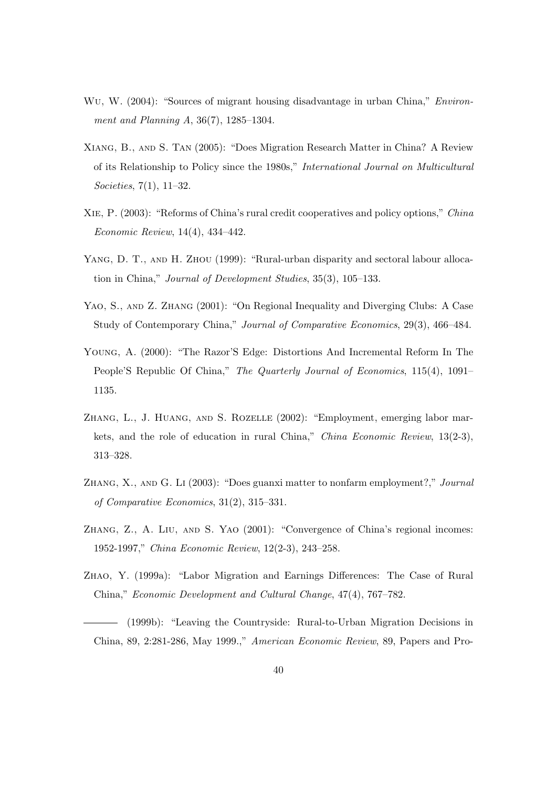- Wu, W. (2004): "Sources of migrant housing disadvantage in urban China," *Environ*ment and Planning A, 36(7), 1285–1304.
- Xiang, B., and S. Tan (2005): "Does Migration Research Matter in China? A Review of its Relationship to Policy since the 1980s," International Journal on Multicultural Societies, 7(1), 11–32.
- Xie, P. (2003): "Reforms of China's rural credit cooperatives and policy options," China Economic Review, 14(4), 434–442.
- YANG, D. T., AND H. ZHOU (1999): "Rural-urban disparity and sectoral labour allocation in China," Journal of Development Studies, 35(3), 105–133.
- YAO, S., AND Z. ZHANG (2001): "On Regional Inequality and Diverging Clubs: A Case Study of Contemporary China," Journal of Comparative Economics, 29(3), 466–484.
- Young, A. (2000): "The Razor'S Edge: Distortions And Incremental Reform In The People'S Republic Of China," The Quarterly Journal of Economics, 115(4), 1091– 1135.
- ZHANG, L., J. HUANG, AND S. ROZELLE (2002): "Employment, emerging labor markets, and the role of education in rural China," China Economic Review, 13(2-3), 313–328.
- Zhang, X., and G. Li (2003): "Does guanxi matter to nonfarm employment?," Journal of Comparative Economics, 31(2), 315–331.
- Zhang, Z., A. Liu, and S. Yao (2001): "Convergence of China's regional incomes: 1952-1997," China Economic Review, 12(2-3), 243–258.
- Zhao, Y. (1999a): "Labor Migration and Earnings Differences: The Case of Rural China," Economic Development and Cultural Change, 47(4), 767–782.
- (1999b): "Leaving the Countryside: Rural-to-Urban Migration Decisions in China, 89, 2:281-286, May 1999.," American Economic Review, 89, Papers and Pro-